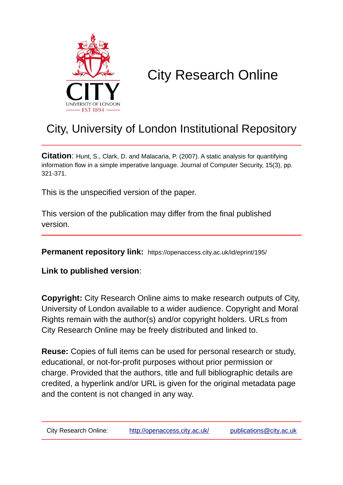

# City Research Online

## City, University of London Institutional Repository

**Citation**: Hunt, S., Clark, D. and Malacaria, P. (2007). A static analysis for quantifying information flow in a simple imperative language. Journal of Computer Security, 15(3), pp. 321-371.

This is the unspecified version of the paper.

This version of the publication may differ from the final published version.

**Permanent repository link:** https://openaccess.city.ac.uk/id/eprint/195/

**Link to published version**:

**Copyright:** City Research Online aims to make research outputs of City, University of London available to a wider audience. Copyright and Moral Rights remain with the author(s) and/or copyright holders. URLs from City Research Online may be freely distributed and linked to.

**Reuse:** Copies of full items can be used for personal research or study, educational, or not-for-profit purposes without prior permission or charge. Provided that the authors, title and full bibliographic details are credited, a hyperlink and/or URL is given for the original metadata page and the content is not changed in any way.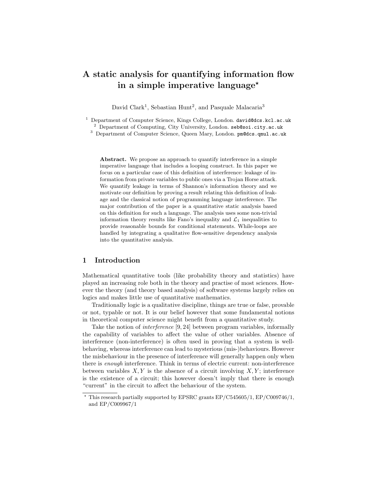### A static analysis for quantifying information flow in a simple imperative language<sup>\*</sup>

David Clark<sup>1</sup>, Sebastian Hunt<sup>2</sup>, and Pasquale Malacaria<sup>3</sup>

<sup>3</sup> Department of Computer Science, Queen Mary, London. pm@dcs.qmul.ac.uk

Abstract. We propose an approach to quantify interference in a simple imperative language that includes a looping construct. In this paper we focus on a particular case of this definition of interference: leakage of information from private variables to public ones via a Trojan Horse attack. We quantify leakage in terms of Shannon's information theory and we motivate our definition by proving a result relating this definition of leakage and the classical notion of programming language interference. The major contribution of the paper is a quantitative static analysis based on this definition for such a language. The analysis uses some non-trivial information theory results like Fano's inequality and  $\mathcal{L}_1$  inequalities to provide reasonable bounds for conditional statements. While-loops are handled by integrating a qualitative flow-sensitive dependency analysis into the quantitative analysis.

#### 1 Introduction

Mathematical quantitative tools (like probability theory and statistics) have played an increasing role both in the theory and practise of most sciences. However the theory (and theory based analysis) of software systems largely relies on logics and makes little use of quantitative mathematics.

Traditionally logic is a qualitative discipline, things are true or false, provable or not, typable or not. It is our belief however that some fundamental notions in theoretical computer science might benefit from a quantitative study.

Take the notion of interference [9, 24] between program variables, informally the capability of variables to affect the value of other variables. Absence of interference (non-interference) is often used in proving that a system is wellbehaving, whereas interference can lead to mysterious (mis-)behaviours. However the misbehaviour in the presence of interference will generally happen only when there is enough interference. Think in terms of electric current: non-interference between variables  $X, Y$  is the absence of a circuit involving  $X, Y$ ; interference is the existence of a circuit; this however doesn't imply that there is enough "current" in the circuit to affect the behaviour of the system.

<sup>&</sup>lt;sup>1</sup> Department of Computer Science, Kings College, London. david@dcs.kcl.ac.uk  $2$  Department of Computing, City University, London. seb@soi.city.ac.uk

 $*$  This research partially supported by EPSRC grants EP/C545605/1, EP/C009746/1, and EP/C009967/1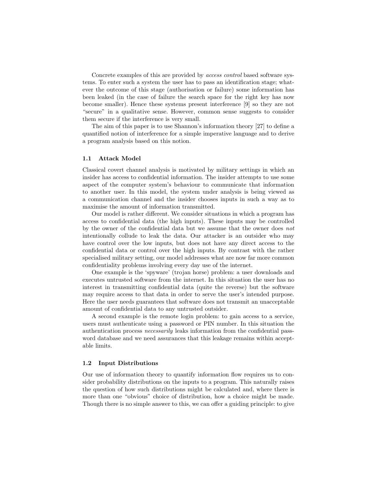Concrete examples of this are provided by access control based software systems. To enter such a system the user has to pass an identification stage; whatever the outcome of this stage (authorisation or failure) some information has been leaked (in the case of failure the search space for the right key has now become smaller). Hence these systems present interference [9] so they are not "secure" in a qualitative sense. However, common sense suggests to consider them secure if the interference is very small.

The aim of this paper is to use Shannon's information theory [27] to define a quantified notion of interference for a simple imperative language and to derive a program analysis based on this notion.

#### 1.1 Attack Model

Classical covert channel analysis is motivated by military settings in which an insider has access to confidential information. The insider attempts to use some aspect of the computer system's behaviour to communicate that information to another user. In this model, the system under analysis is being viewed as a communication channel and the insider chooses inputs in such a way as to maximise the amount of information transmitted.

Our model is rather different. We consider situations in which a program has access to confidential data (the high inputs). These inputs may be controlled by the owner of the confidential data but we assume that the owner does not intentionally collude to leak the data. Our attacker is an outsider who may have control over the low inputs, but does not have any direct access to the confidential data or control over the high inputs. By contrast with the rather specialised military setting, our model addresses what are now far more common confidentiality problems involving every day use of the internet.

One example is the 'spyware' (trojan horse) problem: a user downloads and executes untrusted software from the internet. In this situation the user has no interest in transmitting confidential data (quite the reverse) but the software may require access to that data in order to serve the user's intended purpose. Here the user needs guarantees that software does not transmit an unacceptable amount of confidential data to any untrusted outsider.

A second example is the remote login problem: to gain access to a service, users must authenticate using a password or PIN number. In this situation the authentication process necessarily leaks information from the confidential password database and we need assurances that this leakage remains within acceptable limits.

#### 1.2 Input Distributions

Our use of information theory to quantify information flow requires us to consider probability distributions on the inputs to a program. This naturally raises the question of how such distributions might be calculated and, where there is more than one "obvious" choice of distribution, how a choice might be made. Though there is no simple answer to this, we can offer a guiding principle: to give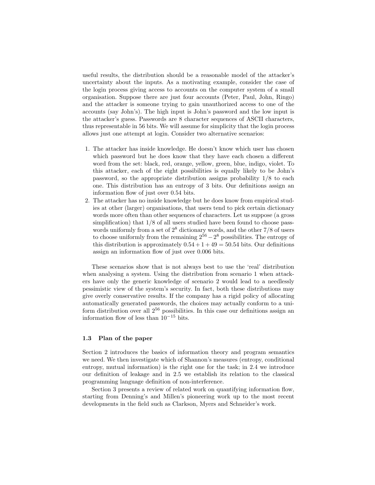useful results, the distribution should be a reasonable model of the attacker's uncertainty about the inputs. As a motivating example, consider the case of the login process giving access to accounts on the computer system of a small organisation. Suppose there are just four accounts (Peter, Paul, John, Ringo) and the attacker is someone trying to gain unauthorized access to one of the accounts (say John's). The high input is John's password and the low input is the attacker's guess. Passwords are 8 character sequences of ASCII characters, thus representable in 56 bits. We will assume for simplicity that the login process allows just one attempt at login. Consider two alternative scenarios:

- 1. The attacker has inside knowledge. He doesn't know which user has chosen which password but he does know that they have each chosen a different word from the set: black, red, orange, yellow, green, blue, indigo, violet. To this attacker, each of the eight possibilities is equally likely to be John's password, so the appropriate distribution assigns probability 1/8 to each one. This distribution has an entropy of 3 bits. Our definitions assign an information flow of just over 0.54 bits.
- 2. The attacker has no inside knowledge but he does know from empirical studies at other (larger) organisations, that users tend to pick certain dictionary words more often than other sequences of characters. Let us suppose (a gross simplification) that  $1/8$  of all users studied have been found to choose passwords uniformly from a set of  $2^8$  dictionary words, and the other  $7/8$  of users to choose uniformly from the remaining  $2^{56} - 2^8$  possibilities. The entropy of this distribution is approximately  $0.54 + 1 + 49 = 50.54$  bits. Our definitions assign an information flow of just over 0.006 bits.

These scenarios show that is not always best to use the 'real' distribution when analysing a system. Using the distribution from scenario 1 when attackers have only the generic knowledge of scenario 2 would lead to a needlessly pessimistic view of the system's security. In fact, both these distributions may give overly conservative results. If the company has a rigid policy of allocating automatically generated passwords, the choices may actually conform to a uniform distribution over all  $2^{56}$  possibilities. In this case our definitions assign an information flow of less than 10<sup>−</sup><sup>15</sup> bits.

#### 1.3 Plan of the paper

Section 2 introduces the basics of information theory and program semantics we need. We then investigate which of Shannon's measures (entropy, conditional entropy, mutual information) is the right one for the task; in 2.4 we introduce our definition of leakage and in 2.5 we establish its relation to the classical programming language definition of non-interference.

Section 3 presents a review of related work on quantifying information flow, starting from Denning's and Millen's pioneering work up to the most recent developments in the field such as Clarkson, Myers and Schneider's work.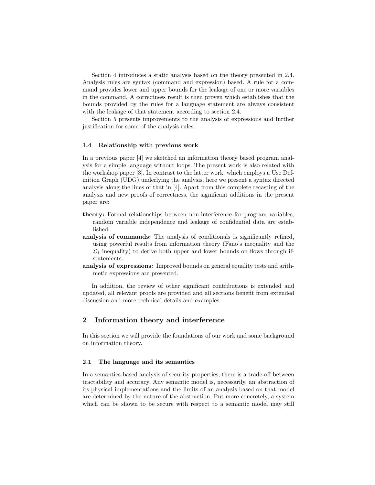Section 4 introduces a static analysis based on the theory presented in 2.4. Analysis rules are syntax (command and expression) based. A rule for a command provides lower and upper bounds for the leakage of one or more variables in the command. A correctness result is then proven which establishes that the bounds provided by the rules for a language statement are always consistent with the leakage of that statement according to section 2.4.

Section 5 presents improvements to the analysis of expressions and further justification for some of the analysis rules.

#### 1.4 Relationship with previous work

In a previous paper [4] we sketched an information theory based program analysis for a simple language without loops. The present work is also related with the workshop paper [3]. In contrast to the latter work, which employs a Use Definition Graph (UDG) underlying the analysis, here we present a syntax directed analysis along the lines of that in [4]. Apart from this complete recasting of the analysis and new proofs of correctness, the significant additions in the present paper are:

- theory: Formal relationships between non-interference for program variables, random variable independence and leakage of confidential data are established.
- analysis of commands: The analysis of conditionals is significantly refined, using powerful results from information theory (Fano's inequality and the  $\mathcal{L}_1$  inequality) to derive both upper and lower bounds on flows through ifstatements.
- analysis of expressions: Improved bounds on general equality tests and arithmetic expressions are presented.

In addition, the review of other significant contributions is extended and updated, all relevant proofs are provided and all sections benefit from extended discussion and more technical details and examples.

#### 2 Information theory and interference

In this section we will provide the foundations of our work and some background on information theory.

#### 2.1 The language and its semantics

In a semantics-based analysis of security properties, there is a trade-off between tractability and accuracy. Any semantic model is, necessarily, an abstraction of its physical implementations and the limits of an analysis based on that model are determined by the nature of the abstraction. Put more concretely, a system which can be shown to be secure with respect to a semantic model may still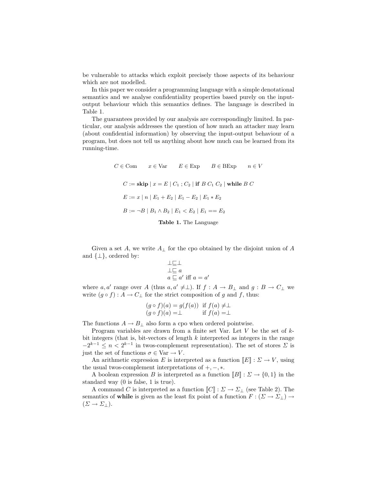be vulnerable to attacks which exploit precisely those aspects of its behaviour which are not modelled.

In this paper we consider a programming language with a simple denotational semantics and we analyse confidentiality properties based purely on the inputoutput behaviour which this semantics defines. The language is described in Table 1.

The guarantees provided by our analysis are correspondingly limited. In particular, our analysis addresses the question of how much an attacker may learn (about confidential information) by observing the input-output behaviour of a program, but does not tell us anything about how much can be learned from its running-time.

> $C \in \text{Com}$   $x \in \text{Var}$   $E \in \text{Exp}$   $B \in \text{BExp}$   $n \in V$  $C :=$  skip  $x = E | C_1 ; C_2 |$  if  $B C_1 C_2 |$  while  $B C_1$  $E := x | n | E_1 + E_2 | E_1 - E_2 | E_1 * E_2$  $B := \neg B \mid B_1 \wedge B_2 \mid E_1 < E_2 \mid E_1 == E_2$ Table 1. The Language

Given a set A, we write  $A_{\perp}$  for the cpo obtained by the disjoint union of A and  $\{\perp\}$ , ordered by:

$$
\perp \sqsubseteq \perp
$$
  
\n
$$
\perp \sqsubseteq a
$$
  
\n
$$
a \sqsubseteq a' \text{ iff } a = a
$$

 $\prime$ 

where  $a, a'$  range over A (thus  $a, a' \neq \perp$ ). If  $f : A \to B_{\perp}$  and  $g : B \to C_{\perp}$  we write  $(g \circ f) : A \to C_{\perp}$  for the strict composition of g and f, thus:

$$
(g \circ f)(a) = g(f(a)) \text{ if } f(a) \neq \perp
$$
  
\n
$$
(g \circ f)(a) = \perp \text{ if } f(a) = \perp
$$

The functions  $A \to B_{\perp}$  also form a cpo when ordered pointwise.

Program variables are drawn from a finite set Var. Let  $V$  be the set of  $k$ bit integers (that is, bit-vectors of length  $k$  interpreted as integers in the range  $-2^{k-1} \leq n < 2^{k-1}$  in twos-complement representation). The set of stores  $\Sigma$  is just the set of functions  $\sigma \in \text{Var} \to V$ .

An arithmetic expression E is interpreted as a function  $[[E] : \Sigma \to V$ , using the usual twos-complement interpretations of  $+, -, *$ .

A boolean expression B is interpreted as a function  $[[B] : \Sigma \to \{0,1\}$  in the standard way (0 is false, 1 is true).

A command C is interpreted as a function  $[[C]] : \Sigma \to \Sigma_{\perp}$  (see Table 2). The semantics of while is given as the least fix point of a function  $F : (\Sigma \to \Sigma_{\perp}) \to$  $(\Sigma \to \Sigma_{\perp}).$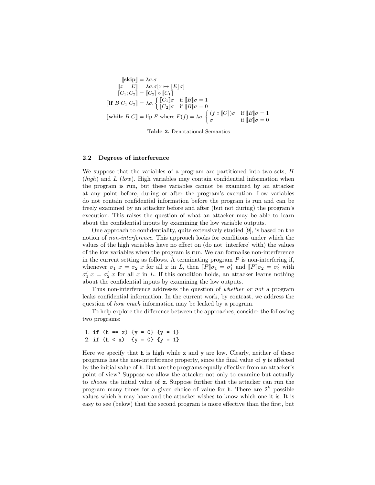$$
\begin{aligned}\n[\mathbf{skip}]\mathbf{b} &= \lambda \sigma. \sigma \\
[\![x = E]\!] &= \lambda \sigma. \sigma[x \mapsto [\![E]\!] \sigma] \\
[\![C_1; C_2]\!] &= [\![C_2]\!] \circ [\![C_1]\!] \\
[\![\mathbf{if } B C_1 C_2]\!] &= \lambda \sigma. \left\{ \begin{aligned}\n[\![C_1]\!] \sigma & \text{if } [\![B]\!] \sigma = 1 \\
[\![C_2]\!] \sigma & \text{if } [\![B]\!] \sigma = 0 \\
[\![\mathbf{while } B C]\!] &= \text{lip } F \text{ where } F(f) = \lambda \sigma. \left\{ \begin{aligned}\n(f \circ [\![C]\!]) \sigma & \text{if } [\![B]\!] \sigma = 1 \\
\sigma & \text{if } [\![B]\!] \sigma = 0\n\end{aligned} \right.\n\end{aligned}
$$

Table 2. Denotational Semantics

#### 2.2 Degrees of interference

We suppose that the variables of a program are partitioned into two sets, H  $(high)$  and  $L$  (low). High variables may contain confidential information when the program is run, but these variables cannot be examined by an attacker at any point before, during or after the program's execution. Low variables do not contain confidential information before the program is run and can be freely examined by an attacker before and after (but not during) the program's execution. This raises the question of what an attacker may be able to learn about the confidential inputs by examining the low variable outputs.

One approach to confidentiality, quite extensively studied [9], is based on the notion of *non-interference*. This approach looks for conditions under which the values of the high variables have no effect on (do not 'interfere' with) the values of the low variables when the program is run. We can formalise non-interference in the current setting as follows. A terminating program  $P$  is non-interfering if, whenever  $\sigma_1$   $x = \sigma_2$  x for all x in L, then  $[ P ] \sigma_1 = \sigma'_1$  and  $[ P ] \sigma_2 = \sigma'_2$  with  $\sigma'_1 x = \sigma'_2 x$  for all x in L. If this condition holds, an attacker learns nothing about the confidential inputs by examining the low outputs.

Thus non-interference addresses the question of whether or not a program leaks confidential information. In the current work, by contrast, we address the question of how much information may be leaked by a program.

To help explore the difference between the approaches, consider the following two programs:

1. if  $(h == x)$   $\{y = 0\}$   $\{y = 1\}$ 2. if  $(h < x)$  {y = 0} {y = 1}

Here we specify that h is high while x and y are low. Clearly, neither of these programs has the non-interference property, since the final value of y is affected by the initial value of h. But are the programs equally effective from an attacker's point of view? Suppose we allow the attacker not only to examine but actually to choose the initial value of x. Suppose further that the attacker can run the program many times for a given choice of value for h. There are  $2^k$  possible values which h may have and the attacker wishes to know which one it is. It is easy to see (below) that the second program is more effective than the first, but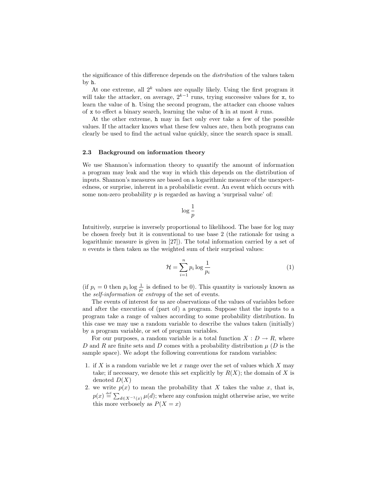the significance of this difference depends on the distribution of the values taken by h.

At one extreme, all  $2^k$  values are equally likely. Using the first program it will take the attacker, on average,  $2^{k-1}$  runs, trying successive values for x, to learn the value of h. Using the second program, the attacker can choose values of x to effect a binary search, learning the value of  **in at most k runs.** 

At the other extreme, h may in fact only ever take a few of the possible values. If the attacker knows what these few values are, then both programs can clearly be used to find the actual value quickly, since the search space is small.

#### 2.3 Background on information theory

We use Shannon's information theory to quantify the amount of information a program may leak and the way in which this depends on the distribution of inputs. Shannon's measures are based on a logarithmic measure of the unexpectedness, or surprise, inherent in a probabilistic event. An event which occurs with some non-zero probability  $p$  is regarded as having a 'surprisal value' of:

$$
\log \frac{1}{p}
$$

Intuitively, surprise is inversely proportional to likelihood. The base for log may be chosen freely but it is conventional to use base 2 (the rationale for using a logarithmic measure is given in [27]). The total information carried by a set of  $n$  events is then taken as the weighted sum of their surprisal values:

$$
\mathcal{H} = \sum_{i=1}^{n} p_i \log \frac{1}{p_i} \tag{1}
$$

(if  $p_i = 0$  then  $p_i \log \frac{1}{p_i}$  is defined to be 0). This quantity is variously known as the *self-information* or *entropy* of the set of events.

The events of interest for us are observations of the values of variables before and after the execution of (part of) a program. Suppose that the inputs to a program take a range of values according to some probability distribution. In this case we may use a random variable to describe the values taken (initially) by a program variable, or set of program variables.

For our purposes, a random variable is a total function  $X : D \to R$ , where D and R are finite sets and D comes with a probability distribution  $\mu$  (D is the sample space). We adopt the following conventions for random variables:

- 1. if X is a random variable we let x range over the set of values which X may take; if necessary, we denote this set explicitly by  $R(X)$ ; the domain of X is denoted  $D(X)$
- 2. we write  $p(x)$  to mean the probability that X takes the value x, that is,  $p(x) \stackrel{\text{def}}{=} \sum_{d \in X^{-1}(x)} \mu(d)$ ; where any confusion might otherwise arise, we write this more verbosely as  $P(X = x)$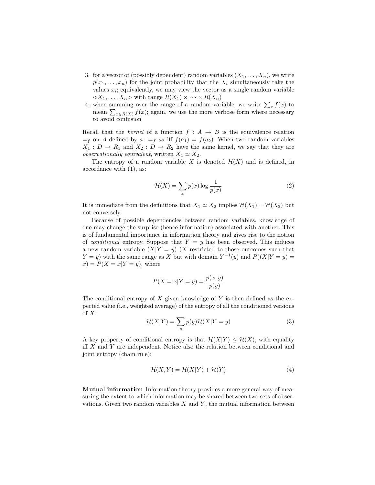- 3. for a vector of (possibly dependent) random variables  $(X_1, \ldots, X_n)$ , we write  $p(x_1, \ldots, x_n)$  for the joint probability that the  $X_i$  simultaneously take the values  $x_i$ ; equivalently, we may view the vector as a single random variable  $\langle X_1, \ldots, X_n \rangle$  with range  $R(X_1) \times \cdots \times R(X_n)$
- 4. when summing over the range of a random variable, we write  $\sum_x f(x)$  to mean  $\sum_{x \in R(X)} f(x)$ ; again, we use the more verbose form where necessary to avoid confusion

Recall that the kernel of a function  $f : A \rightarrow B$  is the equivalence relation  $=$ f on A defined by  $a_1 = f(a_2)$  iff  $f(a_1) = f(a_2)$ . When two random variables  $X_1 : D \to R_1$  and  $X_2 : D \to R_2$  have the same kernel, we say that they are observationally equivalent, written  $X_1 \simeq X_2$ .

The entropy of a random variable X is denoted  $\mathcal{H}(X)$  and is defined, in accordance with (1), as:

$$
\mathcal{H}(X) = \sum_{x} p(x) \log \frac{1}{p(x)}\tag{2}
$$

It is immediate from the definitions that  $X_1 \simeq X_2$  implies  $\mathcal{H}(X_1) = \mathcal{H}(X_2)$  but not conversely.

Because of possible dependencies between random variables, knowledge of one may change the surprise (hence information) associated with another. This is of fundamental importance in information theory and gives rise to the notion of *conditional* entropy. Suppose that  $Y = y$  has been observed. This induces a new random variable  $(X|Y = y)$   $(X$  restricted to those outcomes such that  $Y = y$ ) with the same range as X but with domain  $Y^{-1}(y)$  and  $P((X|Y = y) =$  $x) = P(X = x|Y = y)$ , where

$$
P(X = x|Y = y) = \frac{p(x, y)}{p(y)}
$$

The conditional entropy of X given knowledge of Y is then defined as the expected value (i.e., weighted average) of the entropy of all the conditioned versions of  $X$ :

$$
\mathcal{H}(X|Y) = \sum_{y} p(y)\mathcal{H}(X|Y=y)
$$
\n(3)

A key property of conditional entropy is that  $\mathcal{H}(X|Y) \leq \mathcal{H}(X)$ , with equality iff  $X$  and  $Y$  are independent. Notice also the relation between conditional and joint entropy (chain rule):

$$
\mathcal{H}(X,Y) = \mathcal{H}(X|Y) + \mathcal{H}(Y)
$$
\n(4)

Mutual information Information theory provides a more general way of measuring the extent to which information may be shared between two sets of observations. Given two random variables  $X$  and  $Y$ , the mutual information between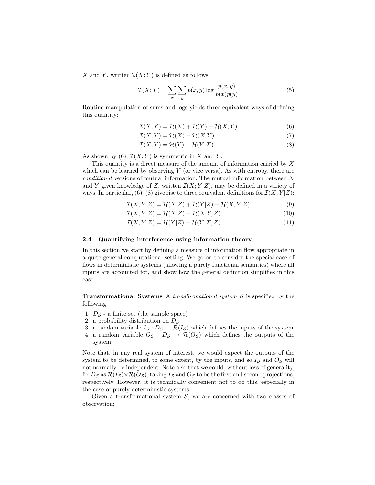X and Y, written  $\mathcal{I}(X;Y)$  is defined as follows:

$$
\mathcal{I}(X;Y) = \sum_{x} \sum_{y} p(x,y) \log \frac{p(x,y)}{p(x)p(y)}
$$
(5)

Routine manipulation of sums and logs yields three equivalent ways of defining this quantity:

$$
\mathcal{I}(X;Y) = \mathcal{H}(X) + \mathcal{H}(Y) - \mathcal{H}(X,Y) \tag{6}
$$

$$
\mathcal{I}(X;Y) = \mathcal{H}(X) - \mathcal{H}(X|Y)
$$
\n<sup>(7)</sup>

$$
\mathcal{I}(X;Y) = \mathcal{H}(Y) - \mathcal{H}(Y|X)
$$
\n(8)

As shown by (6),  $\mathcal{I}(X;Y)$  is symmetric in X and Y.

This quantity is a direct measure of the amount of information carried by X which can be learned by observing  $Y$  (or vice versa). As with entropy, there are  $conditional$  versions of mutual information. The mutual information between  $X$ and Y given knowledge of Z, written  $\mathcal{I}(X;Y|Z)$ , may be defined in a variety of ways. In particular,  $(6)-(8)$  give rise to three equivalent definitions for  $\mathcal{I}(X; Y|Z)$ :

$$
\mathcal{I}(X;Y|Z) = \mathcal{H}(X|Z) + \mathcal{H}(Y|Z) - \mathcal{H}(X,Y|Z)
$$
\n(9)

$$
\mathcal{I}(X;Y|Z) = \mathcal{H}(X|Z) - \mathcal{H}(X|Y,Z)
$$
\n(10)

$$
\mathcal{I}(X;Y|Z) = \mathcal{H}(Y|Z) - \mathcal{H}(Y|X,Z)
$$
\n(11)

#### 2.4 Quantifying interference using information theory

In this section we start by defining a measure of information flow appropriate in a quite general computational setting. We go on to consider the special case of flows in deterministic systems (allowing a purely functional semantics) where all inputs are accounted for, and show how the general definition simplifies in this case.

**Transformational Systems** A *transformational system*  $S$  is specified by the following:

- 1.  $D_{\mathcal{S}}$  a finite set (the sample space)
- 2. a probability distribution on  $D<sub>S</sub>$
- 3. a random variable  $I_{\mathcal{S}} : D_{\mathcal{S}} \to \mathcal{R}(I_{\mathcal{S}})$  which defines the inputs of the system
- 4. a random variable  $O_{\mathcal{S}} : D_{\mathcal{S}} \to \mathcal{R}(O_{\mathcal{S}})$  which defines the outputs of the system

Note that, in any real system of interest, we would expect the outputs of the system to be determined, to some extent, by the inputs, and so  $I_{\mathcal{S}}$  and  $O_{\mathcal{S}}$  will not normally be independent. Note also that we could, without loss of generality, fix  $D_S$  as  $\mathcal{R}(I_S) \times \mathcal{R}(O_S)$ , taking  $I_S$  and  $O_S$  to be the first and second projections, respectively. However, it is technically convenient not to do this, especially in the case of purely deterministic systems.

Given a transformational system  $S$ , we are concerned with two classes of observation: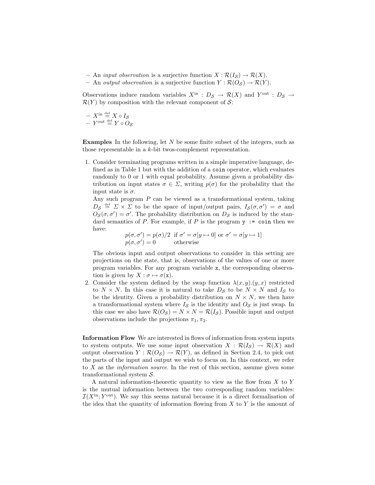- An *input observation* is a surjective function  $X : \mathcal{R}(I_{\mathcal{S}}) \to \mathcal{R}(X)$ .
- An output observation is a surjective function  $Y : \mathcal{R}(O_{\mathcal{S}}) \to \mathcal{R}(Y)$ .

Observations induce random variables  $X^{in}$  :  $D_S \to \mathcal{R}(X)$  and  $Y^{out}$  :  $D_S \to$  $\mathcal{R}(Y)$  by composition with the relevant component of S:

$$
- X^{\text{in}} \stackrel{\text{def}}{=} X \circ I_{S}
$$

$$
- Y^{\text{out}} \stackrel{\text{def}}{=} Y \circ O_{S}
$$

Examples In the following, let N be some finite subset of the integers, such as those representable in a k-bit twos-complement representation.

1. Consider terminating programs written in a simple imperative language, defined as in Table 1 but with the addition of a coin operator, which evaluates randomly to 0 or 1 with equal probability. Assume given a probability distribution on input states  $\sigma \in \Sigma$ , writing  $p(\sigma)$  for the probability that the input state is  $\sigma$ .

Any such program  $P$  can be viewed as a transformational system, taking  $D_{\mathcal{S}} \stackrel{\text{def}}{=} \Sigma \times \Sigma$  to be the space of input/output pairs,  $I_{\mathcal{S}}(\sigma, \sigma') = \sigma$  and  $O_{\mathcal{S}}(\sigma, \sigma') = \sigma'$ . The probability distribution on  $D_{\mathcal{S}}$  is induced by the standard semantics of P. For example, if P is the program  $y$  := coin then we have:

$$
p(\sigma, \sigma') = p(\sigma)/2 \text{ if } \sigma' = \sigma[y \mapsto 0] \text{ or } \sigma' = \sigma[y \mapsto 1]
$$
  

$$
p(\sigma, \sigma') = 0 \text{ otherwise}
$$

The obvious input and output observations to consider in this setting are projections on the state, that is, observations of the values of one or more program variables. For any program variable x, the corresponding observation is given by  $X : \sigma \mapsto \sigma(\mathbf{x})$ .

2. Consider the system defined by the swap function  $\lambda(x, y)$ . $(y, x)$  restricted to  $N \times N$ . In this case it is natural to take  $D_{\mathcal{S}}$  to be  $N \times N$  and  $I_{\mathcal{S}}$  to be the identity. Given a probability distribution on  $N \times N$ , we then have a transformational system where  $I_{\mathcal{S}}$  is the identity and  $O_{\mathcal{S}}$  is just swap. In this case we also have  $\mathcal{R}(O_{\mathcal{S}}) = N \times N = \mathcal{R}(I_{\mathcal{S}})$ . Possible input and output observations include the projections  $\pi_1, \pi_2$ .

Information Flow We are interested in flows of information from system inputs to system outputs. We use some input observation  $X : \mathcal{R}(I_{\mathcal{S}}) \to \mathcal{R}(X)$  and output observation  $Y : \mathcal{R}(O_{\mathcal{S}}) \to \mathcal{R}(Y)$ , as defined in Section 2.4, to pick out the parts of the input and output we wish to focus on. In this context, we refer to  $X$  as the *information source*. In the rest of this section, assume given some transformational system S.

A natural information-theoretic quantity to view as the flow from X to Y is the mutual information between the two corresponding random variables:  $\mathcal{I}(X^{\text{in}}; Y^{\text{out}})$ . We say this seems natural because it is a direct formalisation of the idea that the quantity of information flowing from  $X$  to  $Y$  is the amount of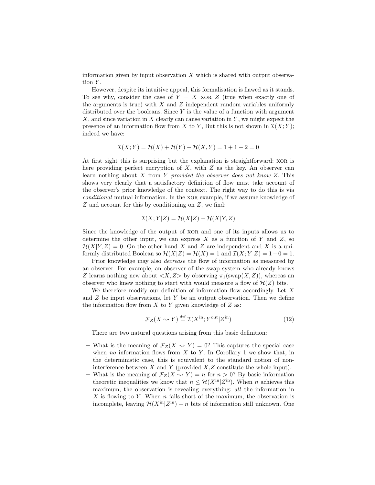information given by input observation  $X$  which is shared with output observation  $Y$ .

However, despite its intuitive appeal, this formalisation is flawed as it stands. To see why, consider the case of  $Y = X$  xor Z (true when exactly one of the arguments is true) with  $X$  and  $Z$  independent random variables uniformly distributed over the booleans. Since  $Y$  is the value of a function with argument  $X$ , and since variation in X clearly can cause variation in Y, we might expect the presence of an information flow from X to Y, But this is not shown in  $\mathcal{I}(X; Y)$ ; indeed we have:

$$
\mathcal{I}(X;Y) = \mathcal{H}(X) + \mathcal{H}(Y) - \mathcal{H}(X,Y) = 1 + 1 - 2 = 0
$$

At first sight this is surprising but the explanation is straightforward: XOR is here providing perfect encryption of  $X$ , with  $Z$  as the key. An observer can learn nothing about  $X$  from  $Y$  provided the observer does not know  $Z$ . This shows very clearly that a satisfactory definition of flow must take account of the observer's prior knowledge of the context. The right way to do this is via conditional mutual information. In the xor example, if we assume knowledge of Z and account for this by conditioning on Z, we find:

$$
\mathcal{I}(X;Y|Z) = \mathcal{H}(X|Z) - \mathcal{H}(X|Y,Z)
$$

Since the knowledge of the output of xor and one of its inputs allows us to determine the other input, we can express  $X$  as a function of  $Y$  and  $Z$ , so  $\mathcal{H}(X|Y,Z) = 0$ . On the other hand X and Z are independent and X is a uniformly distributed Boolean so  $\mathcal{H}(X|Z) = \mathcal{H}(X) = 1$  and  $\mathcal{I}(X;Y|Z) = 1-0 = 1$ .

Prior knowledge may also decrease the flow of information as measured by an observer. For example, an observer of the swap system who already knows Z learns nothing new about  $\langle X, Z \rangle$  by observing  $\pi_1(\text{swap}(X, Z))$ , whereas an observer who knew nothing to start with would measure a flow of  $\mathcal{H}(Z)$  bits.

We therefore modify our definition of information flow accordingly. Let X and  $Z$  be input observations, let  $Y$  be an output observation. Then we define the information flow from  $X$  to  $Y$  given knowledge of  $Z$  as:

$$
\mathcal{F}_Z(X \sim Y) \stackrel{\text{def}}{=} \mathcal{I}(X^{\text{in}}; Y^{\text{out}} | Z^{\text{in}})
$$
 (12)

There are two natural questions arising from this basic definition:

- What is the meaning of  $\mathcal{F}_Z(X \sim Y) = 0$ ? This captures the special case when no information flows from  $X$  to  $Y$ . In Corollary 1 we show that, in the deterministic case, this is equivalent to the standard notion of noninterference between  $X$  and  $Y$  (provided  $X, Z$  constitute the whole input).
- What is the meaning of  $\mathcal{F}_Z(X \sim Y) = n$  for  $n > 0$ ? By basic information theoretic inequalities we know that  $n \leq \mathcal{H}(X^{\text{in}}|Z^{\text{in}})$ . When n achieves this maximum, the observation is revealing everything: all the information in  $X$  is flowing to Y. When n falls short of the maximum, the observation is incomplete, leaving  $\mathcal{H}(X^{\text{in}}|Z^{\text{in}}) - n$  bits of information still unknown. One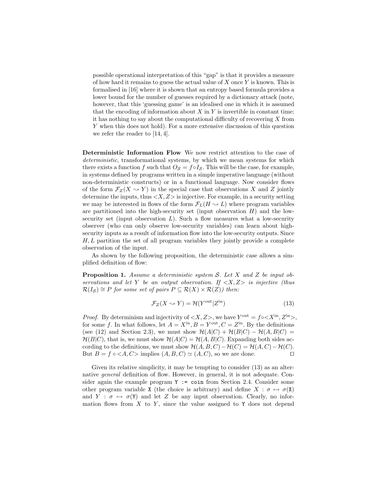possible operational interpretation of this "gap" is that it provides a measure of how hard it remains to guess the actual value of  $X$  once  $Y$  is known. This is formalised in [16] where it is shown that an entropy based formula provides a lower bound for the number of guesses required by a dictionary attack (note, however, that this 'guessing game' is an idealised one in which it is assumed that the encoding of information about  $X$  in  $Y$  is invertible in constant time; it has nothing to say about the computational difficulty of recovering X from Y when this does not hold). For a more extensive discussion of this question we refer the reader to [14, 4].

Deterministic Information Flow We now restrict attention to the case of deterministic, transformational systems, by which we mean systems for which there exists a function f such that  $O_{\mathcal{S}} = f \circ I_{\mathcal{S}}$ . This will be the case, for example, in systems defined by programs written in a simple imperative language (without non-deterministic constructs) or in a functional language. Now consider flows of the form  $\mathcal{F}_Z(X \sim Y)$  in the special case that observations X and Z jointly determine the inputs, thus  $\langle X, Z \rangle$  is injective. For example, in a security setting we may be interested in flows of the form  $\mathcal{F}_L(H \sim L)$  where program variables are partitioned into the high-security set (input observation  $H$ ) and the lowsecurity set (input observation  $L$ ). Such a flow measures what a low-security observer (who can only observe low-security variables) can learn about highsecurity inputs as a result of information flow into the low-security outputs. Since  $H, L$  partition the set of all program variables they jointly provide a complete observation of the input.

As shown by the following proposition, the deterministic case allows a simplified definition of flow:

Proposition 1. Assume a deterministic system S. Let X and Z be input observations and let Y be an output observation. If  $\langle X, Z \rangle$  is injective (thus  $\mathcal{R}(I_{\mathcal{S}}) \cong P$  for some set of pairs  $P \subseteq \mathcal{R}(X) \times \mathcal{R}(Z)$  then:

$$
\mathcal{F}_Z(X \sim Y) = \mathcal{H}(Y^{\text{out}} | Z^{\text{in}})
$$
\n(13)

*Proof.* By determinism and injectivity of  $\langle X, Z \rangle$ , we have  $Y^{\text{out}} = f \circ \langle X^{\text{in}}, Z^{\text{in}} \rangle$ , for some f. In what follows, let  $A = X^{\text{in}}$ ,  $B = Y^{\text{out}}$ ,  $C = Z^{\text{in}}$ . By the definitions (see (12) and Section 2.3), we must show  $\mathcal{H}(A|C) + \mathcal{H}(B|C) - \mathcal{H}(A, B|C) =$  $\mathcal{H}(B|C)$ , that is, we must show  $\mathcal{H}(A|C) = \mathcal{H}(A, B|C)$ . Expanding both sides according to the definitions, we must show  $\mathcal{H}(A, B, C) - \mathcal{H}(C) = \mathcal{H}(A, C) - \mathcal{H}(C)$ . But  $B = f \circ \langle A, C \rangle$  implies  $(A, B, C) \simeq (A, C)$ , so we are done.

Given its relative simplicity, it may be tempting to consider  $(13)$  as an alternative general definition of flow. However, in general, it is not adequate. Consider again the example program  $Y := \text{coin from Section 2.4.}$  Consider some other program variable X (the choice is arbitrary) and define  $X : \sigma \mapsto \sigma(X)$ and  $Y : \sigma \mapsto \sigma(Y)$  and let Z be any input observation. Clearly, no information flows from  $X$  to  $Y$ , since the value assigned to  $Y$  does not depend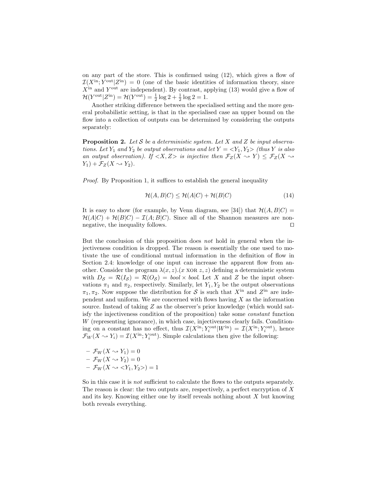on any part of the store. This is confirmed using  $(12)$ , which gives a flow of  $\mathcal{I}(X^{\text{in}}; Y^{\text{out}}|Z^{\text{in}}) = 0$  (one of the basic identities of information theory, since  $X<sup>in</sup>$  and  $Y<sup>out</sup>$  are independent). By contrast, applying (13) would give a flow of  $\mathcal{H}(Y^{\text{out}}|Z^{\text{in}}) = \mathcal{H}(Y^{\text{out}}) = \frac{1}{2}\log 2 + \frac{1}{2}\log 2 = 1.$ 

Another striking difference between the specialised setting and the more general probabilistic setting, is that in the specialised case an upper bound on the flow into a collection of outputs can be determined by considering the outputs separately:

**Proposition 2.** Let S be a deterministic system. Let X and Z be input observations. Let  $Y_1$  and  $Y_2$  be output observations and let  $Y = \langle Y_1, Y_2 \rangle$  (thus Y is also an output observation). If  $\langle X, Z \rangle$  is injective then  $\mathcal{F}_Z(X \rightsquigarrow Y) \leq \mathcal{F}_Z(X \rightsquigarrow Y)$  $Y_1$ ) +  $\mathcal{F}_Z(X \rightsquigarrow Y_2)$ .

Proof. By Proposition 1, it suffices to establish the general inequality

$$
\mathcal{H}(A, B|C) \le \mathcal{H}(A|C) + \mathcal{H}(B|C) \tag{14}
$$

It is easy to show (for example, by Venn diagram, see [34]) that  $\mathcal{H}(A, B|C) =$  $\mathcal{H}(A|C) + \mathcal{H}(B|C) - \mathcal{I}(A;B|C)$ . Since all of the Shannon measures are nonnegative, the inequality follows.  $\Box$ 

But the conclusion of this proposition does not hold in general when the injectiveness condition is dropped. The reason is essentially the one used to motivate the use of conditional mutual information in the definition of flow in Section 2.4: knowledge of one input can increase the apparent flow from another. Consider the program  $\lambda(x, z)$ . (x xore z, z) defining a deterministic system with  $D_S = \mathcal{R}(I_S) = \mathcal{R}(O_S) = \text{bool} \times \text{bool}$ . Let X and Z be the input observations  $\pi_1$  and  $\pi_2$ , respectively. Similarly, let  $Y_1, Y_2$  be the output observations  $\pi_1, \pi_2$ . Now suppose the distribution for S is such that  $X^{\text{in}}$  and  $Z^{\text{in}}$  are independent and uniform. We are concerned with flows having  $X$  as the information source. Instead of taking Z as the observer's prior knowledge (which would satisfy the injectiveness condition of the proposition) take some constant function W (representing ignorance), in which case, injectiveness clearly fails. Conditioning on a constant has no effect, thus  $\mathcal{I}(X^{\text{in}}; Y_i^{\text{out}}|W^{\text{in}}) = \mathcal{I}(X^{\text{in}}; Y_i^{\text{out}})$ , hence  $\mathcal{F}_W(X \sim Y_i) = \mathcal{I}(X^{\text{in}}; Y_i^{\text{out}})$ . Simple calculations then give the following:

$$
- \mathcal{F}_W(X \rightsquigarrow Y_1) = 0
$$
  
-  $\mathcal{F}_W(X \rightsquigarrow Y_2) = 0$   
-  $\mathcal{F}_W(X \rightsquigarrow \langle Y_1, Y_2 \rangle) = 1$ 

So in this case it is not sufficient to calculate the flows to the outputs separately. The reason is clear: the two outputs are, respectively, a perfect encryption of X and its key. Knowing either one by itself reveals nothing about  $X$  but knowing both reveals everything.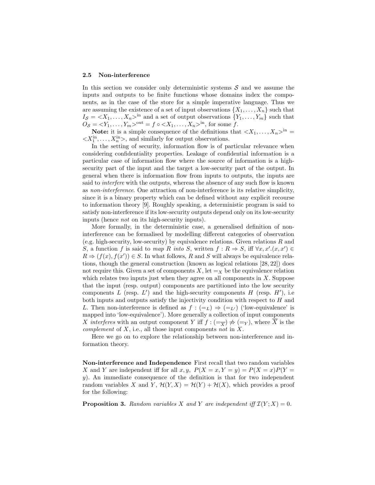#### 2.5 Non-interference

In this section we consider only deterministic systems  $S$  and we assume the inputs and outputs to be finite functions whose domains index the components, as in the case of the store for a simple imperative language. Thus we are assuming the existence of a set of input observations  $\{X_1, \ldots, X_n\}$  such that  $I_{\mathcal{S}} = \langle X_1, \ldots, X_n \rangle^{\text{in}}$  and a set of output observations  $\{Y_1, \ldots, Y_m\}$  such that  $O_{\mathcal{S}} = \langle Y_1, \ldots, Y_m \rangle^{\text{out}} = f \circ \langle X_1, \ldots, X_n \rangle^{\text{in}}$ , for some f.

**Note:** it is a simple consequence of the definitions that  $\langle X_1, \ldots, X_n \rangle^{\text{in}} =$  $\langle X_1^{\text{in}}, \ldots, X_n^{\text{in}} \rangle$ , and similarly for output observations.

In the setting of security, information flow is of particular relevance when considering confidentiality properties. Leakage of confidential information is a particular case of information flow where the source of information is a highsecurity part of the input and the target a low-security part of the output. In general when there is information flow from inputs to outputs, the inputs are said to *interfere* with the outputs, whereas the absence of any such flow is known as non-interference. One attraction of non-interference is its relative simplicity, since it is a binary property which can be defined without any explicit recourse to information theory [9]. Roughly speaking, a deterministic program is said to satisfy non-interference if its low-security outputs depend only on its low-security inputs (hence not on its high-security inputs).

More formally, in the deterministic case, a generalised definition of noninterference can be formalised by modelling different categories of observation (e.g. high-security, low-security) by equivalence relations. Given relations  $R$  and S, a function f is said to map R into S, written  $f: R \Rightarrow S$ , iff  $\forall x, x'.(x, x') \in$  $R \Rightarrow (f(x), f(x')) \in S$ . In what follows, R and S will always be equivalence relations, though the general construction (known as logical relations [28, 22]) does not require this. Given a set of components X, let  $=_X$  be the equivalence relation which relates two inputs just when they agree on all components in  $X$ . Suppose that the input (resp. output) components are partitioned into the low security components L (resp.  $L'$ ) and the high-security components H (resp.  $H'$ ), i.e both inputs and outputs satisfy the injectivity condition with respect to  $H$  and L. Then non-interference is defined as  $f : (=_L) \Rightarrow (=_{L'})$  ('low-equivalence' is mapped into 'low-equivalence'). More generally a collection of input components X interferes with an output component Y iff  $f : (=_{\overline{X}}) \not\Rightarrow (=_{Y})$ , where X is the *complement* of  $X$ , i.e., all those input components not in  $X$ .

Here we go on to explore the relationship between non-interference and information theory.

Non-interference and Independence First recall that two random variables X and Y are independent iff for all x, y,  $P(X = x, Y = y) = P(X = x)P(Y = y)$ y). An immediate consequence of the definition is that for two independent random variables X and Y,  $\mathcal{H}(Y, X) = \mathcal{H}(Y) + \mathcal{H}(X)$ , which provides a proof for the following:

**Proposition 3.** Random variables X and Y are independent iff  $\mathcal{I}(Y;X) = 0$ .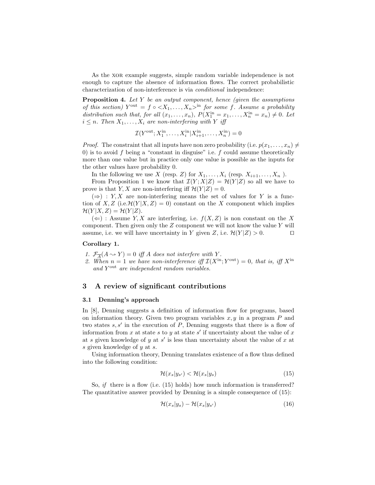As the xor example suggests, simple random variable independence is not enough to capture the absence of information flows. The correct probabilistic characterization of non-interference is via conditional independence:

**Proposition 4.** Let  $Y$  be an output component, hence (given the assumptions of this section)  $Y^{\text{out}} = f \circ \langle X_1, \ldots, X_n \rangle^{\text{in}}$  for some f. Assume a probability distribution such that, for all  $(x_1, \ldots, x_n)$ ,  $P(X_1^{\text{in}} = x_1, \ldots, X_n^{\text{in}} = x_n) \neq 0$ . Let  $i \leq n$ . Then  $X_1, \ldots, X_i$  are non-interfering with Y iff

$$
\mathcal{I}(Y^{\text{out}}; X_1^{\text{in}}, \dots, X_i^{\text{in}} | X_{i+1}^{\text{in}}, \dots, X_n^{\text{in}}) = 0
$$

*Proof.* The constraint that all inputs have non zero probability (i.e.  $p(x_1, \ldots, x_n) \neq$ 0) is to avoid  $f$  being a "constant in disguise" i.e.  $f$  could assume theoretically more than one value but in practice only one value is possible as the inputs for the other values have probability 0.

In the following we use X (resp. Z) for  $X_1, \ldots, X_i$  (resp.  $X_{i+1}, \ldots, X_n$ ).

From Proposition 1 we know that  $\mathcal{I}(Y;X|Z) = \mathcal{H}(Y|Z)$  so all we have to prove is that Y, X are non-interfering iff  $\mathcal{H}(Y|Z) = 0$ .

 $(\Rightarrow)$ : Y, X are non-interfering means the set of values for Y is a function of X, Z (i.e.  $\mathcal{H}(Y|X,Z) = 0$ ) constant on the X component which implies  $\mathcal{H}(Y | X, Z) = \mathcal{H}(Y | Z).$ 

 $(\Leftarrow)$ : Assume Y, X are interfering, i.e.  $f(X, Z)$  is non constant on the X component. Then given only the  $Z$  component we will not know the value  $Y$  will assume, i.e. we will have uncertainty in Y given Z, i.e.  $\mathcal{H}(Y|Z) > 0$ .

#### Corollary 1.

1.  $\mathcal{F}_{\overline{A}}(A \rightsquigarrow Y) = 0$  iff A does not interfere with Y.

2. When  $n = 1$  we have non-interference iff  $\mathcal{I}(X^{\text{in}}; Y^{\text{out}}) = 0$ , that is, iff  $X^{\text{in}}$ and Y<sup>out</sup> are independent random variables.

#### 3 A review of significant contributions

#### 3.1 Denning's approach

In [8], Denning suggests a definition of information flow for programs, based on information theory. Given two program variables  $x, y$  in a program  $P$  and two states  $s, s'$  in the execution of  $P$ , Denning suggests that there is a flow of information from x at state s to y at state s' if uncertainty about the value of x at s given knowledge of y at  $s'$  is less than uncertainty about the value of x at s given knowledge of y at s.

Using information theory, Denning translates existence of a flow thus defined into the following condition:

$$
\mathcal{H}(x_s|y_{s'}) < \mathcal{H}(x_s|y_s) \tag{15}
$$

So, if there is a flow (i.e.  $(15)$  holds) how much information is transferred? The quantitative answer provided by Denning is a simple consequence of (15):

$$
\mathcal{H}(x_s|y_s) - \mathcal{H}(x_s|y_{s'})\tag{16}
$$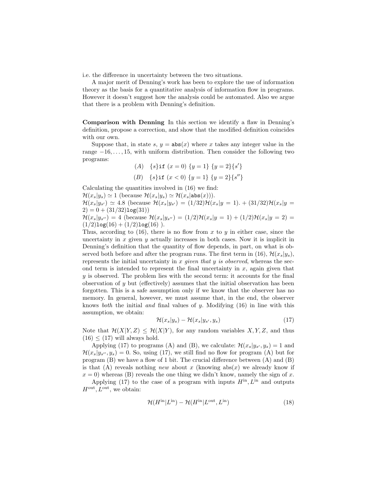i.e. the difference in uncertainty between the two situations.

A major merit of Denning's work has been to explore the use of information theory as the basis for a quantitative analysis of information flow in programs. However it doesn't suggest how the analysis could be automated. Also we argue that there is a problem with Denning's definition.

Comparison with Denning In this section we identify a flaw in Denning's definition, propose a correction, and show that the modified definition coincides with our own.

Suppose that, in state s,  $y = abs(x)$  where x takes any integer value in the range  $-16, \ldots, 15$ , with uniform distribution. Then consider the following two programs:

> (A) { $s\$ if  $(x = 0)$  { $y = 1$ } { $y = 2$ } { $s'$ } (B) {s}if  $(x < 0)$  { $y = 1$ } { $y = 2$ }{s''}

Calculating the quantities involved in (16) we find:

 $\mathcal{H}(x_s|y_s) \simeq 1$  (because  $\mathcal{H}(x_s|y_s) \simeq \mathcal{H}(x_s|\texttt{abs}(x))$ ).  $\mathcal{H}(x_s|y_{s'}) \simeq 4.8$  (because  $\mathcal{H}(x_s|y_{s'}) = (1/32)\mathcal{H}(x_s|y=1)$ . +  $(31/32)\mathcal{H}(x_s|y=1)$  $2) = 0 + (31/32) \log(31)$  $\mathcal{H}(x_s|y_{s''}) = 4$  (because  $\mathcal{H}(x_s|y_{s''}) = (1/2)\mathcal{H}(x_s|y=1) + (1/2)\mathcal{H}(x_s|y=2) =$  $(1/2)log(16) + (1/2)log(16)$ .

Thus, according to (16), there is no flow from x to y in either case, since the uncertainty in  $x$  given  $y$  actually increases in both cases. Now it is implicit in Denning's definition that the quantity of flow depends, in part, on what is observed both before and after the program runs. The first term in (16),  $\mathcal{H}(x_s|y_s)$ , represents the initial uncertainty in x given that y is observed, whereas the second term is intended to represent the final uncertainty in  $x$ , again given that  $y$  is observed. The problem lies with the second term: it accounts for the final observation of  $y$  but (effectively) assumes that the initial observation has been forgotten. This is a safe assumption only if we know that the observer has no memory. In general, however, we must assume that, in the end, the observer knows *both* the initial *and* final values of y. Modifying  $(16)$  in line with this assumption, we obtain:

$$
\mathcal{H}(x_s|y_s) - \mathcal{H}(x_s|y_{s'}, y_s) \tag{17}
$$

Note that  $\mathcal{H}(X|Y,Z) \leq \mathcal{H}(X|Y)$ , for any random variables X, Y, Z, and thus  $(16) < (17)$  will always hold.

Applying (17) to programs (A) and (B), we calculate:  $\mathcal{H}(x_s|y_{s'}, y_s) = 1$  and  $\mathcal{H}(x_s|y_{s''}, y_s) = 0.$  So, using (17), we still find no flow for program (A) but for program  $(B)$  we have a flow of 1 bit. The crucial difference between  $(A)$  and  $(B)$ is that (A) reveals nothing *new* about x (knowing  $abs(x)$  we already know if  $x = 0$ ) whereas (B) reveals the one thing we didn't know, namely the sign of x.

Applying (17) to the case of a program with inputs  $H^{in}$ ,  $L^{in}$  and outputs  $H^{\text{out}}$ ,  $L^{\text{out}}$ , we obtain:

$$
\mathcal{H}(H^{\text{in}}|L^{\text{in}}) - \mathcal{H}(H^{\text{in}}|L^{\text{out}}, L^{\text{in}})
$$
\n(18)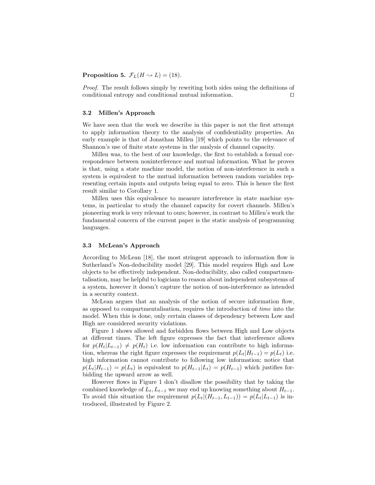**Proposition 5.**  $\mathcal{F}_L(H \sim L) = (18)$ .

Proof. The result follows simply by rewriting both sides using the definitions of conditional entropy and conditional mutual information.  $\Box$ 

#### 3.2 Millen's Approach

We have seen that the work we describe in this paper is not the first attempt to apply information theory to the analysis of confidentiality properties. An early example is that of Jonathan Millen [19] which points to the relevance of Shannon's use of finite state systems in the analysis of channel capacity.

Millen was, to the best of our knowledge, the first to establish a formal correspondence between noninterference and mutual information. What he proves is that, using a state machine model, the notion of non-interference in such a system is equivalent to the mutual information between random variables representing certain inputs and outputs being equal to zero. This is hence the first result similar to Corollary 1.

Millen uses this equivalence to measure interference in state machine systems, in particular to study the channel capacity for covert channels. Millen's pioneering work is very relevant to ours; however, in contrast to Millen's work the fundamental concern of the current paper is the static analysis of programming languages.

#### 3.3 McLean's Approach

According to McLean [18], the most stringent approach to information flow is Sutherland's Non-deducibility model [29]. This model requires High and Low objects to be effectively independent. Non-deducibility, also called compartmentalisation, may be helpful to logicians to reason about independent subsystems of a system, however it doesn't capture the notion of non-interference as intended in a security context.

McLean argues that an analysis of the notion of secure information flow, as opposed to compartmentalisation, requires the introduction of time into the model. When this is done, only certain classes of dependency between Low and High are considered security violations.

Figure 1 shows allowed and forbidden flows between High and Low objects at different times. The left figure expresses the fact that interference allows for  $p(H_t|L_{t-1}) \neq p(H_t)$  i.e. low information can contribute to high information, whereas the right figure expresses the requirement  $p(L_t|H_{t-1}) = p(L_t)$  i.e. high information cannot contribute to following low information; notice that  $p(L_t|H_{t-1}) = p(L_t)$  is equivalent to  $p(H_{t-1}|L_t) = p(H_{t-1})$  which justifies forbidding the upward arrow as well.

However flows in Figure 1 don't disallow the possibility that by taking the combined knowledge of  $L_t$ ,  $L_{t-1}$  we may end up knowing something about  $H_{t-1}$ . To avoid this situation the requirement  $p(L_t|(H_{t-1}, L_{t-1})) = p(L_t|L_{t-1})$  is introduced, illustrated by Figure 2.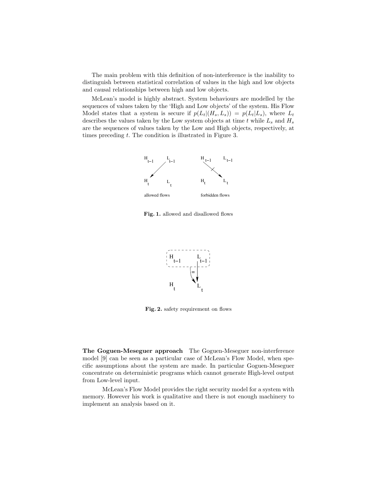The main problem with this definition of non-interference is the inability to distinguish between statistical correlation of values in the high and low objects and causal relationships between high and low objects.

McLean's model is highly abstract. System behaviours are modelled by the sequences of values taken by the 'High and Low objects' of the system. His Flow Model states that a system is secure if  $p(L_t|(H_s, L_s)) = p(L_t|L_s)$ , where  $L_t$ describes the values taken by the Low system objects at time t while  $L_s$  and  $H_s$ are the sequences of values taken by the Low and High objects, respectively, at times preceding t. The condition is illustrated in Figure 3.



Fig. 1. allowed and disallowed flows



Fig. 2. safety requirement on flows

The Goguen-Meseguer approach The Goguen-Meseguer non-interference model [9] can be seen as a particular case of McLean's Flow Model, when specific assumptions about the system are made. In particular Goguen-Meseguer concentrate on deterministic programs which cannot generate High-level output from Low-level input.

McLean's Flow Model provides the right security model for a system with memory. However his work is qualitative and there is not enough machinery to implement an analysis based on it.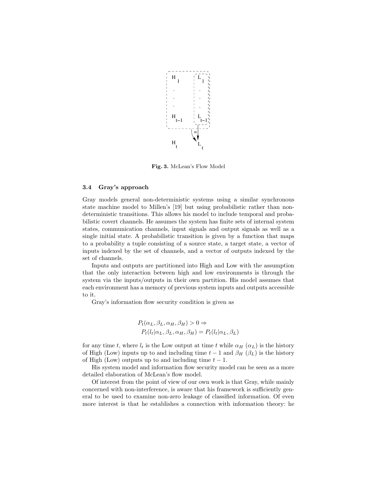

Fig. 3. McLean's Flow Model

#### 3.4 Gray's approach

Gray models general non-deterministic systems using a similar synchronous state machine model to Millen's [19] but using probabilistic rather than nondeterministic transitions. This allows his model to include temporal and probabilistic covert channels. He assumes the system has finite sets of internal system states, communication channels, input signals and output signals as well as a single initial state. A probabilistic transition is given by a function that maps to a probability a tuple consisting of a source state, a target state, a vector of inputs indexed by the set of channels, and a vector of outputs indexed by the set of channels.

Inputs and outputs are partitioned into High and Low with the assumption that the only interaction between high and low environments is through the system via the inputs/outputs in their own partition. His model assumes that each environment has a memory of previous system inputs and outputs accessible to it.

Gray's information flow security condition is given as

$$
P_t(\alpha_L, \beta_L, \alpha_H, \beta_H) > 0 \Rightarrow
$$
  

$$
P_t(l_t | \alpha_L, \beta_L, \alpha_H, \beta_H) = P_t(l_t | \alpha_L, \beta_L)
$$

for any time t, where  $l_t$  is the Low output at time t while  $\alpha_H$  ( $\alpha_L$ ) is the history of High (Low) inputs up to and including time  $t - 1$  and  $\beta_H$  ( $\beta_L$ ) is the history of High (Low) outputs up to and including time  $t - 1$ .

His system model and information flow security model can be seen as a more detailed elaboration of McLean's flow model.

Of interest from the point of view of our own work is that Gray, while mainly concerned with non-interference, is aware that his framework is sufficiently general to be used to examine non-zero leakage of classified information. Of even more interest is that he establishes a connection with information theory: he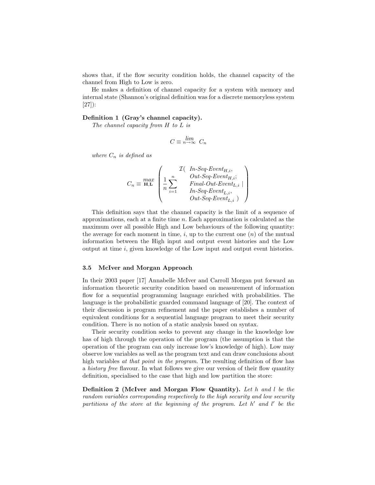shows that, if the flow security condition holds, the channel capacity of the channel from High to Low is zero.

He makes a definition of channel capacity for a system with memory and internal state (Shannon's original definition was for a discrete memoryless system [27]):

#### Definition 1 (Gray's channel capacity).

The channel capacity from H to L is

$$
C \equiv \lim_{n \to \infty} C_n
$$

where  $C_n$  is defined as

$$
C_n \equiv \underset{\textbf{H}, \textbf{L}}{max} \begin{pmatrix} \mathcal{I}(&\textit{In-Seq-Event}_{H,i}, \\ \frac{1}{n}\sum_{i=1}^{n} & \textit{Out-Seq-Event}_{H,i}; \\ & \textit{Final-Out-Event}_{L,i}, \\ & \textit{Out-Seq-Event}_{L,i}, \end{pmatrix}
$$

This definition says that the channel capacity is the limit of a sequence of approximations, each at a finite time n. Each approximation is calculated as the maximum over all possible High and Low behaviours of the following quantity: the average for each moment in time,  $i$ , up to the current one  $(n)$  of the mutual information between the High input and output event histories and the Low output at time i, given knowledge of the Low input and output event histories.

#### 3.5 McIver and Morgan Approach

In their 2003 paper [17] Annabelle McIver and Carroll Morgan put forward an information theoretic security condition based on measurement of information flow for a sequential programming language enriched with probabilities. The language is the probabilistic guarded command language of [20]. The context of their discussion is program refinement and the paper establishes a number of equivalent conditions for a sequential language program to meet their security condition. There is no notion of a static analysis based on syntax.

Their security condition seeks to prevent any change in the knowledge low has of high through the operation of the program (the assumption is that the operation of the program can only increase low's knowledge of high). Low may observe low variables as well as the program text and can draw conclusions about high variables at that point in the program. The resulting definition of flow has a history free flavour. In what follows we give our version of their flow quantity definition, specialised to the case that high and low partition the store:

Definition 2 (McIver and Morgan Flow Quantity). Let h and l be the random variables corresponding respectively to the high security and low security partitions of the store at the beginning of the program. Let  $h'$  and  $l'$  be the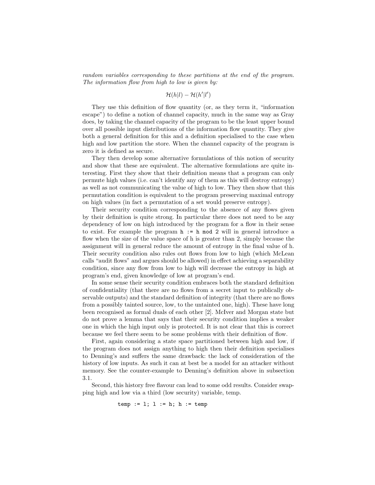random variables corresponding to these partitions at the end of the program. The information flow from high to low is given by:

$$
\mathcal{H}(h|l) - \mathcal{H}(h'|l')
$$

They use this definition of flow quantity (or, as they term it, "information escape") to define a notion of channel capacity, much in the same way as Gray does, by taking the channel capacity of the program to be the least upper bound over all possible input distributions of the information flow quantity. They give both a general definition for this and a definition specialised to the case when high and low partition the store. When the channel capacity of the program is zero it is defined as secure.

They then develop some alternative formulations of this notion of security and show that these are equivalent. The alternative formulations are quite interesting. First they show that their definition means that a program can only permute high values (i.e. can't identify any of them as this will destroy entropy) as well as not communicating the value of high to low. They then show that this permutation condition is equivalent to the program preserving maximal entropy on high values (in fact a permutation of a set would preserve entropy).

Their security condition corresponding to the absence of any flows given by their definition is quite strong. In particular there does not need to be any dependency of low on high introduced by the program for a flow in their sense to exist. For example the program  $h := h \mod 2$  will in general introduce a flow when the size of the value space of h is greater than 2, simply because the assignment will in general reduce the amount of entropy in the final value of h. Their security condition also rules out flows from low to high (which McLean calls "audit flows" and argues should be allowed) in effect achieving a separability condition, since any flow from low to high will decrease the entropy in high at program's end, given knowledge of low at program's end.

In some sense their security condition embraces both the standard definition of confidentiality (that there are no flows from a secret input to publically observable outputs) and the standard definition of integrity (that there are no flows from a possibly tainted source, low, to the untainted one, high). These have long been recognised as formal duals of each other [2]. McIver and Morgan state but do not prove a lemma that says that their security condition implies a weaker one in which the high input only is protected. It is not clear that this is correct because we feel there seem to be some problems with their definition of flow.

First, again considering a state space partitioned between high and low, if the program does not assign anything to high then their definition specialises to Denning's and suffers the same drawback: the lack of consideration of the history of low inputs. As such it can at best be a model for an attacker without memory. See the counter-example to Denning's definition above in subsection 3.1.

Second, this history free flavour can lead to some odd results. Consider swapping high and low via a third (low security) variable, temp.

temp := l; l := h; h := temp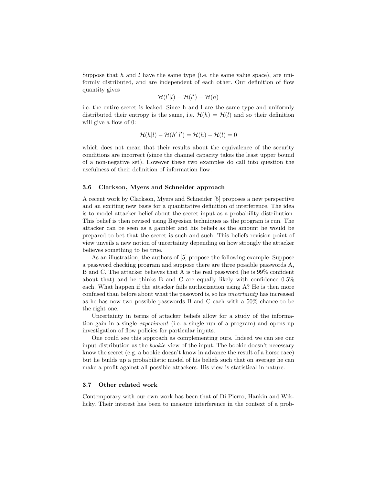Suppose that h and l have the same type (i.e. the same value space), are uniformly distributed, and are independent of each other. Our definition of flow quantity gives

$$
\mathcal{H}(l'|l) = \mathcal{H}(l') = \mathcal{H}(h)
$$

i.e. the entire secret is leaked. Since h and l are the same type and uniformly distributed their entropy is the same, i.e.  $\mathcal{H}(h) = \mathcal{H}(l)$  and so their definition will give a flow of 0:

$$
\mathcal{H}(h|l) - \mathcal{H}(h'|l') = \mathcal{H}(h) - \mathcal{H}(l) = 0
$$

which does not mean that their results about the equivalence of the security conditions are incorrect (since the channel capacity takes the least upper bound of a non-negative set). However these two examples do call into question the usefulness of their definition of information flow.

#### 3.6 Clarkson, Myers and Schneider approach

A recent work by Clarkson, Myers and Schneider [5] proposes a new perspective and an exciting new basis for a quantitative definition of interference. The idea is to model attacker belief about the secret input as a probability distribution. This belief is then revised using Bayesian techniques as the program is run. The attacker can be seen as a gambler and his beliefs as the amount he would be prepared to bet that the secret is such and such. This beliefs revision point of view unveils a new notion of uncertainty depending on how strongly the attacker believes something to be true.

As an illustration, the authors of [5] propose the following example: Suppose a password checking program and suppose there are three possible passwords A, B and C. The attacker believes that A is the real password (he is 99% confident about that) and he thinks B and C are equally likely with confidence 0.5% each. What happen if the attacker fails authorization using A? He is then more confused than before about what the password is, so his uncertainty has increased as he has now two possible passwords B and C each with a 50% chance to be the right one.

Uncertainty in terms of attacker beliefs allow for a study of the information gain in a single experiment (i.e. a single run of a program) and opens up investigation of flow policies for particular inputs.

One could see this approach as complementing ours. Indeed we can see our input distribution as the bookie view of the input. The bookie doesn't necessary know the secret (e.g. a bookie doesn't know in advance the result of a horse race) but he builds up a probabilistic model of his beliefs such that on average he can make a profit against all possible attackers. His view is statistical in nature.

#### 3.7 Other related work

Contemporary with our own work has been that of Di Pierro, Hankin and Wiklicky. Their interest has been to measure interference in the context of a prob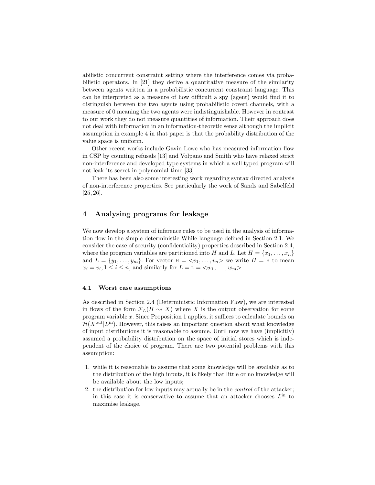abilistic concurrent constraint setting where the interference comes via probabilistic operators. In [21] they derive a quantitative measure of the similarity between agents written in a probabilistic concurrent constraint language. This can be interpreted as a measure of how difficult a spy (agent) would find it to distinguish between the two agents using probabilistic covert channels, with a measure of 0 meaning the two agents were indistinguishable. However in contrast to our work they do not measure quantities of information. Their approach does not deal with information in an information-theoretic sense although the implicit assumption in example 4 in that paper is that the probability distribution of the value space is uniform.

Other recent works include Gavin Lowe who has measured information flow in CSP by counting refusals [13] and Volpano and Smith who have relaxed strict non-interference and developed type systems in which a well typed program will not leak its secret in polynomial time [33].

There has been also some interesting work regarding syntax directed analysis of non-interference properties. See particularly the work of Sands and Sabelfeld [25, 26].

#### 4 Analysing programs for leakage

We now develop a system of inference rules to be used in the analysis of information flow in the simple deterministic While language defined in Section 2.1. We consider the case of security (confidentiality) properties described in Section 2.4, where the program variables are partitioned into H and L. Let  $H = \{x_1, \ldots, x_n\}$ and  $L = \{y_1, \ldots, y_m\}$ . For vector  $H = \langle v_1, \ldots, v_n \rangle$  we write  $H = H$  to mean  $x_i = v_i, 1 \leq i \leq n$ , and similarly for  $L = L = \langle w_1, \ldots, w_m \rangle$ .

#### 4.1 Worst case assumptions

As described in Section 2.4 (Deterministic Information Flow), we are interested in flows of the form  $\mathcal{F}_L(H \rightsquigarrow X)$  where X is the output observation for some program variable x. Since Proposition 1 applies, it suffices to calculate bounds on  $\mathcal{H}(X^{\text{out}}|L^{\text{in}})$ . However, this raises an important question about what knowledge of input distributions it is reasonable to assume. Until now we have (implicitly) assumed a probability distribution on the space of initial stores which is independent of the choice of program. There are two potential problems with this assumption:

- 1. while it is reasonable to assume that some knowledge will be available as to the distribution of the high inputs, it is likely that little or no knowledge will be available about the low inputs;
- 2. the distribution for low inputs may actually be in the control of the attacker; in this case it is conservative to assume that an attacker chooses  $L^{in}$  to maximise leakage.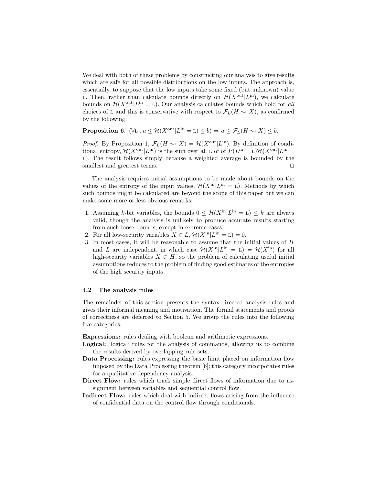We deal with both of these problems by constructing our analysis to give results which are safe for all possible distributions on the low inputs. The approach is, essentially, to suppose that the low inputs take some fixed (but unknown) value L. Then, rather than calculate bounds directly on  $\mathcal{H}(X^{\text{out}}|L^{\text{in}})$ , we calculate bounds on  $\mathcal{H}(X^{\text{out}}|L^{\text{in}} = L)$ . Our analysis calculates bounds which hold for all choices of L and this is conservative with respect to  $\mathcal{F}_L(H \rightsquigarrow X)$ , as confirmed by the following:

**Proposition 6.**  $(\forall L \cdot a \leq \mathcal{H}(X^{\text{out}}|L^{\text{in}} = L) \leq b) \Rightarrow a \leq \mathcal{F}_L(H \rightsquigarrow X) \leq b.$ 

*Proof.* By Proposition 1,  $\mathcal{F}_L(H \to X) = \mathcal{H}(X^{\text{out}}|L^{\text{in}})$ . By definition of conditional entropy,  $\mathcal{H}(X^{\text{out}}|L^{\text{in}})$  is the sum over all L of of  $P(L^{\text{in}} = L)\mathcal{H}(X^{\text{out}}|L^{\text{in}} = L)$ L). The result follows simply because a weighted average is bounded by the smallest and greatest terms.  $\Box$ 

The analysis requires initial assumptions to be made about bounds on the values of the entropy of the input values,  $\mathcal{H}(X^{\text{in}}|L^{\text{in}} = L)$ . Methods by which such bounds might be calculated are beyond the scope of this paper but we can make some more or less obvious remarks:

- 1. Assuming k-bit variables, the bounds  $0 \leq \mathcal{H}(X^{\text{in}}|L^{\text{in}} = L) \leq k$  are always valid, though the analysis is unlikely to produce accurate results starting from such loose bounds, except in extreme cases.
- 2. For all low-security variables  $X \in L$ ,  $\mathcal{H}(X^{\text{in}}|L^{\text{in}} = L) = 0$ .
- 3. In most cases, it will be reasonable to assume that the initial values of H and L are independent, in which case  $\mathcal{H}(X^{\text{in}}|L^{\text{in}} = L) = \mathcal{H}(X^{\text{in}})$  for all high-security variables  $X \in H$ , so the problem of calculating useful initial assumptions reduces to the problem of finding good estimates of the entropies of the high security inputs.

#### 4.2 The analysis rules

The remainder of this section presents the syntax-directed analysis rules and gives their informal meaning and motivation. The formal statements and proofs of correctness are deferred to Section 5. We group the rules into the following five categories:

Expressions: rules dealing with boolean and arithmetic expressions.

- Logical: 'logical' rules for the analysis of commands, allowing us to combine the results derived by overlapping rule sets.
- Data Processing: rules expressing the basic limit placed on information flow imposed by the Data Processing theorem [6]; this category incorporates rules for a qualitative dependency analysis.
- Direct Flow: rules which track simple direct flows of information due to assignment between variables and sequential control flow.
- Indirect Flow: rules which deal with indirect flows arising from the influence of confidential data on the control flow through conditionals.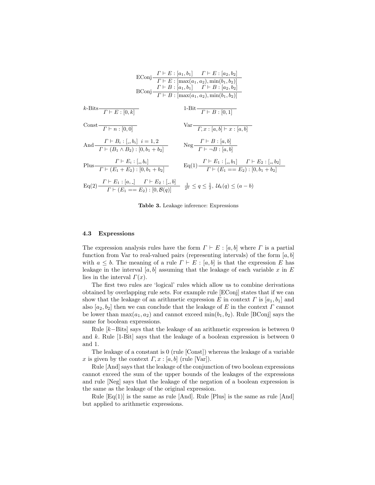|                                                                                                                                                                                                                | EConj $\frac{\Gamma \vdash E : [a_1, b_1] \quad \Gamma \vdash E : [a_2, b_2]}{\Gamma \vdash E : [\max(a_1, a_2), \min(b_1, b_2)]}$<br>$\text{BConj}\frac{\Gamma \vdash B : [a_1, b_1] \quad \Gamma \vdash B : [a_2, b_2]}{\Gamma \vdash B : [\max(a_1, a_2), \min(b_1, b_2)]}$ |
|----------------------------------------------------------------------------------------------------------------------------------------------------------------------------------------------------------------|--------------------------------------------------------------------------------------------------------------------------------------------------------------------------------------------------------------------------------------------------------------------------------|
| $k$ -Bits $\frac{1}{\Gamma E : [0, k]}$                                                                                                                                                                        | 1-Bit $\frac{}{\Gamma \vdash B : [0,1]}$                                                                                                                                                                                                                                       |
| Const $\frac{r}{r}$ $\frac{r}{0.0}$                                                                                                                                                                            | $\sqrt{\text{ar} \cdot \frac{x}{\sqrt{L} \cdot x : [a, b] + x : [a, b]}}$                                                                                                                                                                                                      |
| And $\frac{\Gamma \vdash B_i : [-, b_i] \quad i = 1, 2}{\Gamma \vdash (B_1 \land B_2) : [0, b_1 + b_2]}$                                                                                                       | $\text{Neg}\frac{\Gamma \vdash B : [a, b]}{\Gamma \vdash \neg B : [a, b]}$                                                                                                                                                                                                     |
| Plus $\frac{\Gamma \vdash E_i : [.,b_i]}{\Gamma \vdash (E_1 + E_2) : [0, b_1 + b_2]}$                                                                                                                          | $Eq(1)$ $\frac{\Gamma \vdash E_1 : [-b_1] \quad \Gamma \vdash E_2 : [-b_2]}{\Gamma \vdash (E_1 == E_2) : [0, b_1 + b_2]}$                                                                                                                                                      |
| $Eq(2)$ $\frac{\Gamma \vdash E_1: [a, \cdot] \quad \Gamma \vdash E_2: [\cdot, b]}{\Gamma \vdash (E_1 == E_2): [0, \mathcal{B}(a)]} \quad \frac{1}{2^k} \leq q \leq \frac{1}{2}, \mathcal{U}_k(q) \leq (a - b)$ |                                                                                                                                                                                                                                                                                |

Table 3. Leakage inference: Expressions

#### 4.3 Expressions

The expression analysis rules have the form  $\Gamma \vdash E : [a, b]$  where  $\Gamma$  is a partial function from Var to real-valued pairs (representing intervals) of the form  $[a, b]$ with  $a \leq b$ . The meaning of a rule  $\Gamma \vdash E : [a, b]$  is that the expression E has leakage in the interval [a, b] assuming that the leakage of each variable x in E lies in the interval  $\Gamma(x)$ .

The first two rules are 'logical' rules which allow us to combine derivations obtained by overlapping rule sets. For example rule [EConj] states that if we can show that the leakage of an arithmetic expression E in context  $\Gamma$  is  $[a_1, b_1]$  and also  $[a_2, b_2]$  then we can conclude that the leakage of E in the context  $\Gamma$  cannot be lower than  $\max(a_1, a_2)$  and cannot exceed  $\min(b_1, b_2)$ . Rule [BConj] says the same for boolean expressions.

Rule  $[k-\text{bits}]$  says that the leakage of an arithmetic expression is between 0 and  $k$ . Rule [1-Bit] says that the leakage of a boolean expression is between 0 and 1.

The leakage of a constant is 0 (rule [Const]) whereas the leakage of a variable x is given by the context  $\Gamma, x : [a, b]$  (rule [Var]).

Rule [And] says that the leakage of the conjunction of two boolean expressions cannot exceed the sum of the upper bounds of the leakages of the expressions and rule [Neg] says that the leakage of the negation of a boolean expression is the same as the leakage of the original expression.

Rule  $[Eq(1)]$  is the same as rule  $[And]$ . Rule  $[Plus]$  is the same as rule  $[And]$ but applied to arithmetic expressions.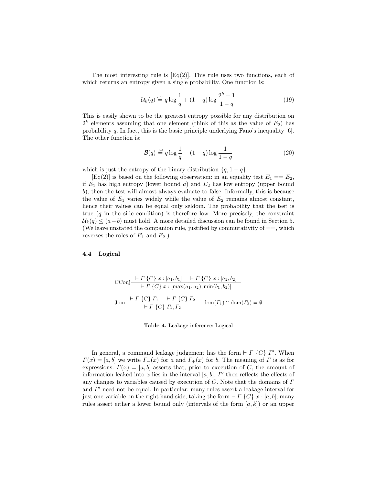The most interesting rule is  $Eq(2)$ . This rule uses two functions, each of which returns an entropy given a single probability. One function is:

$$
\mathcal{U}_k(q) \stackrel{\text{def}}{=} q \log \frac{1}{q} + (1-q) \log \frac{2^k - 1}{1-q} \tag{19}
$$

This is easily shown to be the greatest entropy possible for any distribution on  $2^k$  elements assuming that one element (think of this as the value of  $E_2$ ) has probability q. In fact, this is the basic principle underlying Fano's inequality [6]. The other function is:

$$
\mathcal{B}(q) \stackrel{\text{def}}{=} q \log \frac{1}{q} + (1-q) \log \frac{1}{1-q} \tag{20}
$$

which is just the entropy of the binary distribution  $\{q, 1 - q\}.$ 

 $[Eq(2)]$  is based on the following observation: in an equality test  $E_1 = E_2$ , if  $E_1$  has high entropy (lower bound a) and  $E_2$  has low entropy (upper bound b), then the test will almost always evaluate to false. Informally, this is because the value of  $E_1$  varies widely while the value of  $E_2$  remains almost constant, hence their values can be equal only seldom. The probability that the test is true  $(q$  in the side condition) is therefore low. More precisely, the constraint  $U_k(q) \leq (a-b)$  must hold. A more detailed discussion can be found in Section 5. (We leave unstated the companion rule, justified by commutativity of  $==$ , which reverses the roles of  $E_1$  and  $E_2$ .)

#### 4.4 Logical

$$
\begin{aligned}\n\text{CConj} & \xrightarrow{\vdash} \Gamma \{C\} \, x : [a_1, b_1] \quad \vdash \Gamma \{C\} \, x : [a_2, b_2] \\
& \xrightarrow{\vdash} \Gamma \{C\} \, x : [\max(a_1, a_2), \min(b_1, b_2)] \\
\text{Join} & \xrightarrow{\vdash} \Gamma \{C\} \, \Gamma_1 \quad \vdash \Gamma \{C\} \, \Gamma_2 \quad \text{dom}(\Gamma_1) \cap \text{dom}(\Gamma_2) = \emptyset\n\end{aligned}
$$

Table 4. Leakage inference: Logical

In general, a command leakage judgement has the form  $\vdash \Gamma \{C\} \Gamma'$ . When  $\Gamma(x) = [a, b]$  we write  $\Gamma(x)$  for a and  $\Gamma(x)$  for b. The meaning of  $\Gamma$  is as for expressions:  $\Gamma(x) = [a, b]$  asserts that, prior to execution of C, the amount of information leaked into x lies in the interval  $[a, b]$ .  $\Gamma'$  then reflects the effects of any changes to variables caused by execution of  $C$ . Note that the domains of  $\Gamma$ and  $\Gamma'$  need not be equal. In particular: many rules assert a leakage interval for just one variable on the right hand side, taking the form  $\vdash \Gamma \{C\} x : [a, b]$ ; many rules assert either a lower bound only (intervals of the form  $[a, k]$ ) or an upper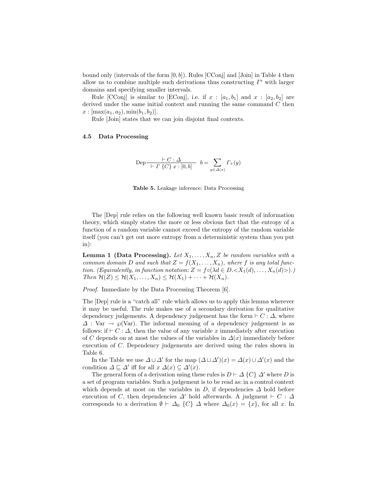bound only (intervals of the form  $[0, b]$ ). Rules  $[CConj]$  and  $[Join]$  in Table 4 then allow us to combine multiple such derivations thus constructing  $\Gamma'$  with larger domains and specifying smaller intervals.

Rule [CConj] is similar to [EConj], i.e. if  $x : [a_1, b_1]$  and  $x : [a_2, b_2]$  are derived under the same initial context and running the same command  $C$  then  $x : [max(a_1, a_2), min(b_1, b_2)].$ 

Rule [Join] states that we can join disjoint final contexts.

#### 4.5 Data Processing

$$
\text{Dep} \frac{\vdash C : \Delta}{\vdash \Gamma \{C\} \ x : [0, b]} \quad b = \sum_{y \in \Delta(x)} \Gamma_+(y)
$$



The [Dep] rule relies on the following well known basic result of information theory, which simply states the more or less obvious fact that the entropy of a function of a random variable cannot exceed the entropy of the random variable itself (you can't get out more entropy from a deterministic system than you put in):

**Lemma 1 (Data Processing).** Let  $X_1, \ldots, X_n, Z$  be random variables with a common domain D and such that  $Z = f(X_1, ..., X_n)$ , where f is any total function. (Equivalently, in function notation:  $Z = f \circ (\lambda d \in D \ltimes X_1(d), \ldots, X_n(d) >)$ .) Then  $\mathcal{H}(Z) \leq \mathcal{H}(X_1,\ldots,X_n) \leq \mathcal{H}(X_1) + \cdots + \mathcal{H}(X_n).$ 

Proof. Immediate by the Data Processing Theorem [6].

The [Dep] rule is a "catch all" rule which allows us to apply this lemma wherever it may be useful. The rule makes use of a secondary derivation for qualitative dependency judgements. A dependency judgement has the form  $\vdash C : \Delta$ , where  $\Delta$ : Var  $\rightarrow \varphi$ (Var). The informal meaning of a dependency judgement is as follows: if  $\vdash C : \Delta$ , then the value of any variable x immediately after execution of C depends on at most the values of the variables in  $\Delta(x)$  immediately before execution of C. Dependency judgements are derived using the rules shown in Table 6.

In the Table we use  $\Delta \sqcup \Delta'$  for the map  $(\Delta \sqcup \Delta')(x) = \Delta(x) \cup \Delta'(x)$  and the condition  $\Delta \sqsubseteq \Delta'$  iff for all  $x \Delta(x) \subseteq \Delta'(x)$ .

The general form of a derivation using these rules is  $D \vdash \Delta \{C\} \Delta'$  where D is a set of program variables. Such a judgement is to be read as: in a control context which depends at most on the variables in D, if dependencies  $\Delta$  hold before execution of C, then dependencies  $\Delta'$  hold afterwards. A judgment  $\vdash C : \Delta$ corresponds to a derivation  $\emptyset \vdash \Delta_0 \{C\} \Delta$  where  $\Delta_0(x) = \{x\}$ , for all x. In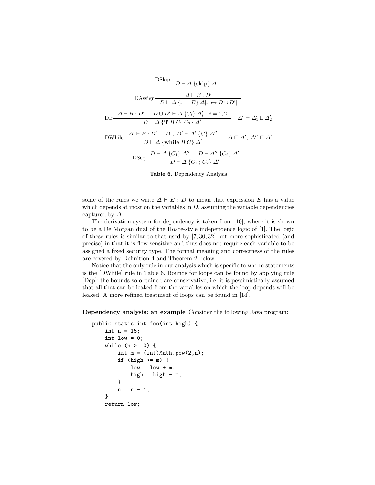

Table 6. Dependency Analysis

some of the rules we write  $\Delta \vdash E : D$  to mean that expression E has a value which depends at most on the variables in  $D$ , assuming the variable dependencies captured by  $\Delta$ .

The derivation system for dependency is taken from [10], where it is shown to be a De Morgan dual of the Hoare-style independence logic of [1]. The logic of these rules is similar to that used by [7, 30, 32] but more sophisticated (and precise) in that it is flow-sensitive and thus does not require each variable to be assigned a fixed security type. The formal meaning and correctness of the rules are covered by Definition 4 and Theorem 2 below.

Notice that the only rule in our analysis which is specific to while statements is the [DWhile] rule in Table 6. Bounds for loops can be found by applying rule [Dep]: the bounds so obtained are conservative, i.e. it is pessimistically assumed that all that can be leaked from the variables on which the loop depends will be leaked. A more refined treatment of loops can be found in [14].

Dependency analysis: an example Consider the following Java program:

```
public static int foo(int high) {
    int n = 16;
    int low = 0;
    while (n \ge 0) {
        int m = (int) Math.pop(2,n);if (high >= m) {
            low = low + m;high = high - m;
        }
        n = n - 1;}
    return low;
```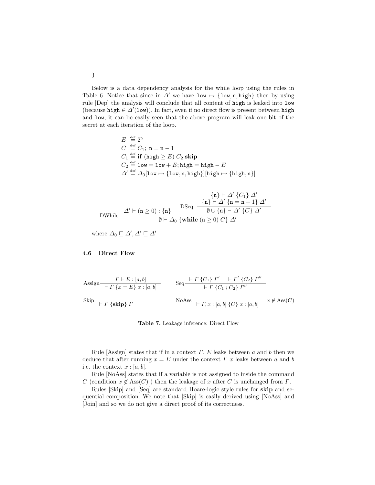Below is a data dependency analysis for the while loop using the rules in Table 6. Notice that since in  $\Delta'$  we have low  $\mapsto$  {low, n, high} then by using rule [Dep] the analysis will conclude that all content of high is leaked into low (because high  $\in \Delta'(\texttt{low})$ ). In fact, even if no direct flow is present between high and low, it can be easily seen that the above program will leak one bit of the secret at each iteration of the loop.

$$
E \stackrel{\text{def}}{=} 2^n
$$
  
\n
$$
C \stackrel{\text{def}}{=} C_1; \ n = n - 1
$$
  
\n
$$
C_1 \stackrel{\text{def}}{=} \textbf{if} (\text{high} \ge E) C_2 \textbf{skip}
$$
  
\n
$$
C_2 \stackrel{\text{def}}{=} 1 \text{ow} = 1 \text{ow} + E; \text{high} = \text{high} - E
$$
  
\n
$$
\Delta' \stackrel{\text{def}}{=} \Delta_0[\text{low} \mapsto {\text{low}, n, \text{high}}][\text{high} \mapsto {\text{high}, n}]
$$

$$
\left\{n\right\} \vdash \Delta' \left\{C_1\right\} \, \Delta'
$$
\n
$$
\text{DWhile} \xrightarrow{\Delta' \vdash (n \geq 0) : \{n\}} \text{DSeq} \xrightarrow{\{n\} \vdash \Delta' \{n = n - 1\}} \Delta'
$$
\n
$$
\emptyset \vdash \Delta_0 \left\{\text{while } (n \geq 0) \, C\right\} \, \Delta'
$$

where  $\Delta_0 \sqsubseteq \Delta', \Delta' \sqsubseteq \Delta'$ 

#### 4.6 Direct Flow

$$
\begin{array}{ll}\n\text{Assign} & I \vdash E : [a, b] \\
\hline\n\vdash \Gamma \{x = E\} \ x : [a, b] \\
\text{skip} \vdash \Gamma \{x = E\} \ x : [a, b]\n\end{array}\n\quad\n\begin{array}{ll}\n\text{Seq} & \vdash \Gamma \{C_1\} \ \Gamma' & \vdash \Gamma' \{C_2\} \ \Gamma'' \\
\hline\n\vdash \Gamma \{C_1\} \ C_2\} \ \Gamma'' \\
\text{NoAss} & \vdash \Gamma, x : [a, b] \ \{C\} \ x : [a, b]\n\end{array}\n\quad\n\begin{array}{ll}\n\text{Ass}(\text{C}) \\
\hline\n\end{array}
$$

Table 7. Leakage inference: Direct Flow

Rule [Assign] states that if in a context  $\Gamma$ , E leaks between a and b then we deduce that after running  $x = E$  under the context  $\Gamma$  x leaks between a and b i.e. the context  $x : [a, b]$ .

Rule [NoAss] states that if a variable is not assigned to inside the command C (condition  $x \notin \text{Ass}(C)$ ) then the leakage of x after C is unchanged from  $\Gamma$ .

Rules [Skip] and [Seq] are standard Hoare-logic style rules for skip and sequential composition. We note that [Skip] is easily derived using [NoAss] and [Join] and so we do not give a direct proof of its correctness.

}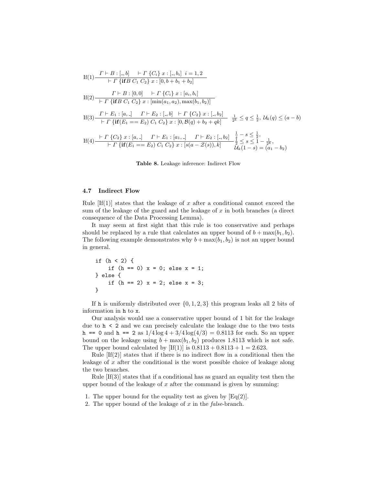If(1) 
$$
\frac{\Gamma \vdash B : [-,b] \quad \vdash \Gamma \{C_i\} \ x : [-,b_i] \ i = 1,2}{\vdash \Gamma \{ifB \ C_1 \ C_2\} \ x : [0,b+b_1+b_2]}
$$
  
If(2) 
$$
\frac{\Gamma \vdash B : [0,0] \quad \vdash \Gamma \{C_i\} \ x : [a_i,b_i]}{\vdash \Gamma \{ifB \ C_1 \ C_2\} \ x : [min(a_1,a_2), max(b_1,b_2)]}
$$
  
If(3) 
$$
\frac{\Gamma \vdash E_1 : [a, \cdot] \quad \Gamma \vdash E_2 : [-,b] \quad \vdash \Gamma \{C_2\} \ x : [-,b_2]}{\vdash \Gamma \{if(E_1 == E_2) \ C_1 \ C_2\} \ x : [0, B(q) + b_2 + qk]} \quad \frac{1}{2^k} \le q \le \frac{1}{2}, \mathcal{U}_k(q) \le (a-b)
$$
  
If(4) 
$$
\frac{\vdash \Gamma \{C_2\} \ x : [a, \cdot] \quad \Gamma \vdash E_1 : [a_1, \cdot] \quad \Gamma \vdash E_2 : [-,b_2] \quad \frac{1}{2} - s \le \frac{1}{2},}{\mathcal{U}_k(q) + s \le 1 - \frac{1}{2^k}}.
$$
  
If(4) 
$$
\frac{\vdash \Gamma \{C_2\} \ x : [a, \cdot] \quad \Gamma \vdash E_1 : [a_1, \cdot] \quad \Gamma \vdash E_2 : [-,b_2] \quad \frac{1}{2} - s \le \frac{1}{2},}{\mathcal{U}_k(q) + s \le 1 - \frac{1}{2^k}}.
$$

Table 8. Leakage inference: Indirect Flow

#### 4.7 Indirect Flow

Rule  $If(1)$  states that the leakage of x after a conditional cannot exceed the sum of the leakage of the guard and the leakage of  $x$  in both branches (a direct consequence of the Data Processing Lemma).

It may seem at first sight that this rule is too conservative and perhaps should be replaced by a rule that calculates an upper bound of  $b + \max(b_1, b_2)$ . The following example demonstrates why  $b + \max(b_1, b_2)$  is not an upper bound in general.

if  $(h < 2)$  { if  $(h == 0)$   $x = 0$ ; else  $x = 1$ ; } else { if  $(h == 2) x = 2$ ; else  $x = 3$ ; }

If h is uniformly distributed over  $\{0, 1, 2, 3\}$  this program leaks all 2 bits of information in h to x.

Our analysis would use a conservative upper bound of 1 bit for the leakage due to h < 2 and we can precisely calculate the leakage due to the two tests h == 0 and h == 2 as  $1/4 \log 4 + 3/4 \log (4/3) = 0.8113$  for each. So an upper bound on the leakage using  $b + \max(b_1, b_2)$  produces 1.8113 which is not safe. The upper bound calculated by  $[f(1)]$  is  $0.8113 + 0.8113 + 1 = 2.623$ .

Rule  $[If(2)]$  states that if there is no indirect flow in a conditional then the leakage of  $x$  after the conditional is the worst possible choice of leakage along the two branches.

Rule [If(3)] states that if a conditional has as guard an equality test then the upper bound of the leakage of  $x$  after the command is given by summing:

- 1. The upper bound for the equality test as given by  $Eq(2)$ .
- 2. The upper bound of the leakage of  $x$  in the false-branch.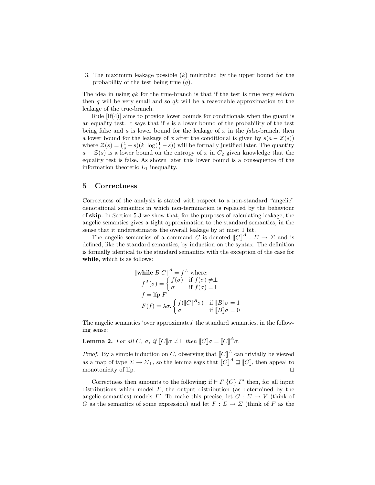3. The maximum leakage possible (k) multiplied by the upper bound for the probability of the test being true  $(q)$ .

The idea in using  $q_k$  for the true-branch is that if the test is true very seldom then q will be very small and so  $q_k$  will be a reasonable approximation to the leakage of the true-branch.

Rule  $[f(4)]$  aims to provide lower bounds for conditionals when the guard is an equality test. It says that if  $s$  is a lower bound of the probability of the test being false and  $\alpha$  is lower bound for the leakage of  $x$  in the *false*-branch, then a lower bound for the leakage of x after the conditional is given by  $s(a - \mathcal{Z}(s))$ where  $\mathcal{Z}(s) = (\frac{1}{s} - s)(k \log(\frac{1}{s} - s))$  will be formally justified later. The quantity  $a - \mathcal{Z}(s)$  is a lower bound on the entropy of x in  $C_2$  given knowledge that the equality test is false. As shown later this lower bound is a consequence of the information theoretic  $L_1$  inequality.

#### 5 Correctness

Correctness of the analysis is stated with respect to a non-standard "angelic" denotational semantics in which non-termination is replaced by the behaviour of skip. In Section 5.3 we show that, for the purposes of calculating leakage, the angelic semantics gives a tight approximation to the standard semantics, in the sense that it underestimates the overall leakage by at most 1 bit.

The angelic semantics of a command C is denoted  $[[C]]^A : \Sigma \to \Sigma$  and is defined, like the standard semantics, by induction on the syntax. The definition is formally identical to the standard semantics with the exception of the case for while, which is as follows:

$$
\begin{aligned}\n\llbracket \textbf{while } B \ C \rrbracket^A &= f^A \text{ where:} \\
f^A(\sigma) &= \begin{cases} f(\sigma) & \text{if } f(\sigma) \neq \perp \\
\sigma & \text{if } f(\sigma) = \perp \end{cases} \\
f &= \text{lip } F \\
F(f) &= \lambda \sigma. \begin{cases} f(\llbracket C \rrbracket^A \sigma) & \text{if } \llbracket B \rrbracket \sigma = 1 \\
\sigma & \text{if } \llbracket B \rrbracket \sigma = 0 \end{cases}\n\end{aligned}
$$

The angelic semantics 'over approximates' the standard semantics, in the following sense:

**Lemma 2.** For all C,  $\sigma$ , if  $\llbracket C \rrbracket \sigma \neq \perp$  then  $\llbracket C \rrbracket \sigma = \llbracket C \rrbracket^A \sigma$ .

*Proof.* By a simple induction on C, observing that  $[[C]]^A$  can trivially be viewed as a map of type  $\Sigma \to \Sigma_{\perp}$ , so the lemma says that  $\llbracket C \rrbracket^A \sqsupseteq \llbracket C \rrbracket$ , then appeal to monotonicity of lfp.  $\Box$ 

Correctness then amounts to the following: if  $\vdash \Gamma \{C\} \Gamma'$  then, for all input distributions which model  $\Gamma$ , the output distribution (as determined by the angelic semantics) models  $\Gamma'$ . To make this precise, let  $G: \Sigma \to V$  (think of G as the semantics of some expression) and let  $F: \Sigma \to \Sigma$  (think of F as the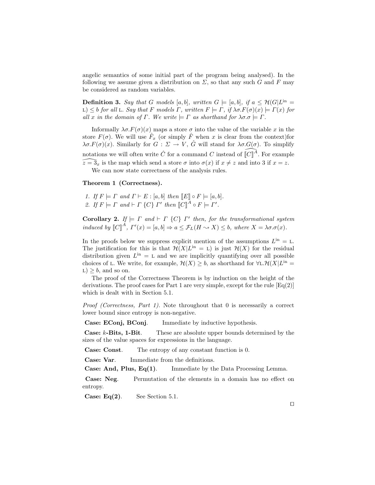angelic semantics of some initial part of the program being analysed). In the following we assume given a distribution on  $\Sigma$ , so that any such G and F may be considered as random variables.

**Definition 3.** Say that G models [a, b], written  $G \models [a, b]$ , if  $a \leq H(G|L^{\text{in}})$ L)  $\leq b$  for all L. Say that F models  $\Gamma$ , written  $F \models \Gamma$ , if  $\lambda \sigma F(\sigma)(x) \models \Gamma(x)$  for all x in the domain of  $\Gamma$ . We write  $\models \Gamma$  as shorthand for  $\lambda \sigma \sigma \models \Gamma$ .

Informally  $\lambda \sigma F(\sigma)(x)$  maps a store  $\sigma$  into the value of the variable x in the store  $F(\sigma)$ . We will use  $\hat{F}_x$  (or simply  $\hat{F}$  when x is clear from the context) for  $\lambda \sigma F(\sigma)(x)$ . Similarly for  $G: \Sigma \to V$ ,  $\hat{G}$  will stand for  $\lambda \sigma G(\sigma)$ . To simplify notations we will often write  $\hat{C}$  for a command C instead of  $\widehat{[C]}^{\hat{A}}$ . For example  $\widehat{z=3}_x$  is the map which send a store  $\sigma$  into  $\sigma(x)$  if  $x \neq z$  and into 3 if  $x = z$ . We can now state correctness of the analysis rules.

#### Theorem 1 (Correctness).

1. If  $F \models \Gamma$  and  $\Gamma \vdash E : [a, b]$  then  $\llbracket E \rrbracket \circ F \models [a, b].$ 2. If  $F \models \Gamma$  and  $\vdash \Gamma$  {C}  $\Gamma'$  then  $\llbracket C \rrbracket^A \circ F \models \Gamma'.$ 

**Corollary 2.** If  $\models \Gamma$  and  $\models \Gamma$  {C}  $\Gamma'$  then, for the transformational system induced by  $\llbracket C \rrbracket^A$ ,  $\Gamma'(x) = [a, b] \Rightarrow a \leq \mathcal{F}_L(H \rightsquigarrow X) \leq b$ , where  $X = \lambda \sigma \cdot \sigma(x)$ .

In the proofs below we suppress explicit mention of the assumptions  $L^{in} = L$ . The justification for this is that  $\mathcal{H}(X|L^{in} = L)$  is just  $\mathcal{H}(X)$  for the residual distribution given  $L^{in} = L$  and we are implicitly quantifying over all possible choices of L. We write, for example,  $\mathcal{H}(X) \geq b$ , as shorthand for  $\forall L \cdot \mathcal{H}(X|L^{\text{in}})$  $L$ ) > b, and so on.

The proof of the Correctness Theorem is by induction on the height of the derivations. The proof cases for Part 1 are very simple, except for the rule  $[Eq(2)]$ which is dealt with in Section 5.1.

Proof (Correctness, Part 1). Note throughout that 0 is necessarily a correct lower bound since entropy is non-negative.

Case: EConj, BConj. Immediate by inductive hypothesis.

Case: k-Bits, 1-Bit. These are absolute upper bounds determined by the sizes of the value spaces for expressions in the language.

Case: Const. The entropy of any constant function is 0.

Case: Var. Immediate from the definitions.

**Case: And, Plus,**  $Eq(1)$ **.** Immediate by the Data Processing Lemma.

Case: Neg. Permutation of the elements in a domain has no effect on entropy.

**Case: Eq(2).** See Section 5.1.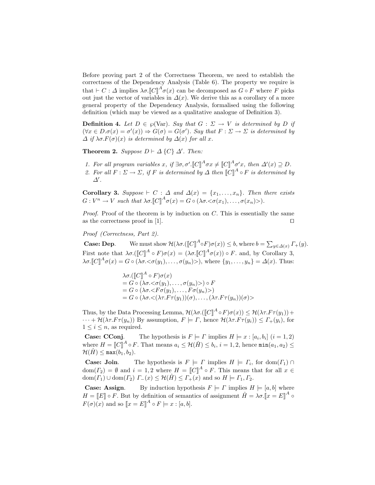Before proving part 2 of the Correctness Theorem, we need to establish the correctness of the Dependency Analysis (Table 6). The property we require is that  $\vdash C : \Delta$  implies  $\lambda \sigma \cdot \llbracket C \rrbracket^A \sigma(x)$  can be decomposed as  $G \circ F$  where F picks out just the vector of variables in  $\Delta(x)$ . We derive this as a corollary of a more general property of the Dependency Analysis, formalised using the following definition (which may be viewed as a qualitative analogue of Definition 3).

**Definition 4.** Let  $D \in \wp(\text{Var})$ . Say that  $G : \Sigma \to V$  is determined by D if  $(\forall x \in D \ldotp \sigma(x) = \sigma'(x)) \Rightarrow G(\sigma) = G(\sigma')$ . Say that  $F: \Sigma \to \Sigma$  is determined by  $\Delta$  if  $\lambda \sigma$ .  $F(\sigma)(x)$  is determined by  $\Delta(x)$  for all x.

Theorem 2. Suppose  $D \vdash \Delta \{C\} \Delta'$ . Then:

- 1. For all program variables x, if  $\exists \sigma, \sigma'. \llbracket C \rrbracket^A \sigma x \neq \llbracket C \rrbracket^A \sigma' x$ , then  $\Delta'(x) \supseteq D$ .
- 2. For all  $F: \Sigma \to \Sigma$ , if F is determined by  $\Delta$  then  $\llbracket C \rrbracket^A \circ F$  is determined by  $\Delta'$ .

Corollary 3. Suppose  $\vdash C : \Delta$  and  $\Delta(x) = \{x_1, \ldots, x_n\}$ . Then there exists  $G: V^n \to V$  such that  $\lambda \sigma \llbracket C \rrbracket^A \sigma(x) = G \circ (\lambda \sigma \llcorner \sigma(x_1), \ldots, \sigma(x_n) \llcorner).$ 

*Proof.* Proof of the theorem is by induction on  $C$ . This is essentially the same as the correctness proof in [1].  $\Box$ 

Proof (Correctness, Part 2).

**Case: Dep.** We must show  $\mathcal{H}(\lambda \sigma. (\llbracket C \rrbracket^A \circ F) \sigma(x)) \leq b$ , where  $b = \sum_{y \in \Delta(x)} \Gamma_+(y)$ . First note that  $\lambda \sigma. (\llbracket C \rrbracket^A \circ F) \sigma(x) = (\lambda \sigma. \llbracket C \rrbracket^A \sigma(x)) \circ F$ . and, by Corollary 3,  $\lambda \sigma \cdot \llbracket C \rrbracket^A \sigma(x) = G \circ (\lambda \sigma \cdot \langle \sigma(y_1), \dots, \sigma(y_n) \rangle), \text{ where } \{y_1, \dots, y_n\} = \Delta(x).$  Thus:

> $\lambda \sigma$ .( $\llbracket C \rrbracket^A \circ F$ ) $\sigma(x)$  $=G\circ (\lambda\sigma.<\sigma(y_1),\ldots,\sigma(y_n))\circ F$  $= G \circ (\lambda \sigma \cdot \langle F \sigma(y_1), \ldots, F \sigma(y_n) \rangle)$  $= G \circ (\lambda \sigma \cdot \langle (\lambda \tau. F \tau(u_1))(\sigma), \dots, (\lambda \tau. F \tau(u_n))(\sigma) \rangle$

Thus, by the Data Processing Lemma,  $\mathcal{H}(\lambda \sigma. (\llbracket C \rrbracket^A \circ F) \sigma(x)) \leq \mathcal{H}(\lambda \tau. F \tau(y_1)) +$  $\cdots + \mathcal{H}(\lambda \tau.F \tau(y_n))$  By assumption,  $F \models \Gamma$ , hence  $\mathcal{H}(\lambda \tau.F \tau(y_i)) \leq \Gamma_+(y_i)$ , for  $1 \leq i \leq n$ , as required.

**Case: CConj.** The hypothesis is  $F \models \Gamma$  implies  $H \models x : [a_i, b_i]$   $(i = 1, 2)$ where  $H = \llbracket C \rrbracket^A \circ F$ . That means  $a_i \leq \mathcal{H}(\hat{H}) \leq b_i$ ,  $i = 1, 2$ , hence  $\min(a_1, a_2) \leq$  $\mathcal{H}(\hat{H}) \leq \max(b_1, b_2).$ 

**Case: Join.** The hypothesis is  $F \models \Gamma$  implies  $H \models \Gamma_i$ , for  $dom(\Gamma_1) \cap$  $dom(\Gamma_2) = \emptyset$  and  $i = 1, 2$  where  $H = [C]^A \circ F$ . This means that for all  $x \in$  $dom(\Gamma_1) \cup dom(\Gamma_2)$   $\Gamma_-(x) \leq \mathcal{H}(\hat{H}) \leq \Gamma_+(x)$  and so  $H \models \Gamma_1, \Gamma_2$ .

**Case: Assign.** By induction hypothesis  $F \models \Gamma$  implies  $H \models [a, b]$  where  $H = \llbracket E \rrbracket \circ F$ . But by definition of semantics of assignment  $\hat{H} = \lambda \sigma \llbracket x = E \rrbracket^A$  $F(\sigma)(x)$  and so  $\llbracket x = E \rrbracket^A \circ F \models x : [a, b].$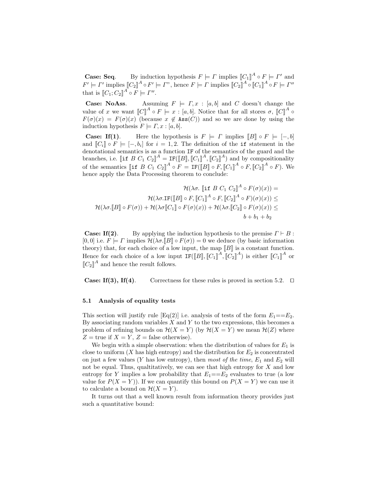**Case: Seq.** By induction hypothesis  $F \models \Gamma$  implies  $\llbracket C_1 \rrbracket^A \circ F \models \Gamma'$  and  $F' \models \Gamma'$  implies  $[\![C_2]\!]^A \circ F' \models \Gamma$ ", hence  $F \models \Gamma$  implies  $[\![C_2]\!]^A \circ [\![C_1]\!]^A \circ F \models \Gamma''$ that is  $[[C_1; C_2]]^A \circ F \models \Gamma''.$ 

**Case: NoAss.** Assuming  $F \models \Gamma, x : [a, b]$  and C doesn't change the value of x we want  $\llbracket C \rrbracket^A \circ F \models x : [a, b]$ . Notice that for all stores  $\sigma$ ,  $\llbracket C \rrbracket^A \circ$  $F(\sigma)(x) = F(\sigma)(x)$  (because  $x \notin Ass(C)$ ) and so we are done by using the induction hypothesis  $F \models \Gamma, x : [a, b].$ 

**Case: If(1).** Here the hypothesis is  $F \models \Gamma$  implies  $\llbracket B \rrbracket \circ F \models [-, b]$ and  $[[C_i]] \circ F \models [-, b_i]$  for  $i = 1, 2$ . The definition of the if statement in the denotational semantics is as a function IF of the semantics of the guard and the branches, i.e. [if B  $C_1 C_2 \rrbracket^A = \text{IF}(\llbracket B \rrbracket, \llbracket C_1 \rrbracket^A, \llbracket C_2 \rrbracket^A)$  and by compositionality of the semantics  $[\![\texttt{if }B\ C_1\ C_2]\!]^A\circ F = \texttt{IF}([\![B]\!] \circ F, [\![C_1]\!]^A \circ F, [\![C_2]\!]^A \circ F)$ . We hence apply the Data Processing theorem to conclude:

$$
\mathcal{H}(\lambda \sigma. \llbracket \text{if } B C_1 C_2 \rrbracket^A \circ F(\sigma)(x)) =
$$

$$
\mathcal{H}(\lambda \sigma. \text{IF}(\llbracket B \rrbracket \circ F, \llbracket C_1 \rrbracket^A \circ F, \llbracket C_2 \rrbracket^A \circ F)(\sigma)(x)) \le
$$

$$
\mathcal{H}(\lambda \sigma. \llbracket B \rrbracket \circ F(\sigma)) + \mathcal{H}(\lambda \sigma \llbracket C_1 \rrbracket \circ F(\sigma)(x)) + \mathcal{H}(\lambda \sigma. \llbracket C_2 \rrbracket \circ F(\sigma)(x)) \le
$$

$$
b + b_1 + b_2
$$

**Case: If(2).** By applying the induction hypothesis to the premise  $\Gamma \vdash B$ :  $[0, 0]$  i.e.  $F \models \Gamma$  implies  $\mathcal{H}(\lambda \sigma \mathcal{F} | B] \circ F(\sigma) = 0$  we deduce (by basic information theory) that, for each choice of a low input, the map  $[[B]]$  is a constant function. Hence for each choice of a low input  $IF([B], [C_1]^A, [C_2]^A)$  is either  $[[C_1]]^A$  or  $\llbracket C_2 \rrbracket^A$  and hence the result follows.

**Case: If(3), If(4).** Correctness for these rules is proved in section 5.2.  $\Box$ 

#### 5.1 Analysis of equality tests

This section will justify rule  $[Eq(2)]$  i.e. analysis of tests of the form  $E_1 = E_2$ . By associating random variables  $X$  and  $Y$  to the two expressions, this becomes a problem of refining bounds on  $\mathcal{H}(X = Y)$  (by  $\mathcal{H}(X = Y)$ ) we mean  $\mathcal{H}(Z)$  where  $Z =$  true if  $X = Y$ ,  $Z =$  false otherwise).

We begin with a simple observation: when the distribution of values for  $E_1$  is close to uniform  $(X$  has high entropy) and the distribution for  $E_2$  is concentrated on just a few values (Y has low entropy), then most of the time,  $E_1$  and  $E_2$  will not be equal. Thus, qualtitatively, we can see that high entropy for  $X$  and low entropy for Y implies a low probability that  $E_1 = E_2$  evaluates to true (a low value for  $P(X = Y)$ ). If we can quantify this bound on  $P(X = Y)$  we can use it to calculate a bound on  $\mathcal{H}(X = Y)$ .

It turns out that a well known result from information theory provides just such a quantitative bound: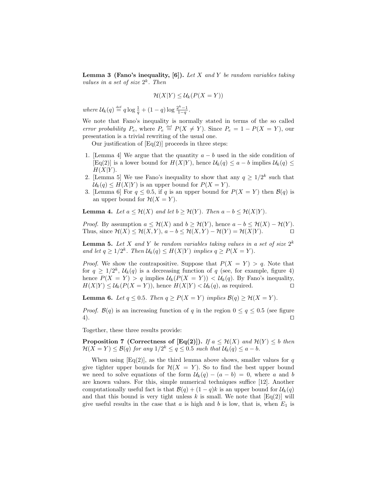**Lemma 3 (Fano's inequality, [6]).** Let X and Y be random variables taking values in a set of size  $2^k$ . Then

$$
\mathcal{H}(X|Y) \leq \mathcal{U}_k(P(X = Y))
$$

where  $\mathcal{U}_k(q) \stackrel{\text{def}}{=} q \log \frac{1}{q} + (1-q) \log \frac{2^k-1}{1-q}$ .

We note that Fano's inequality is normally stated in terms of the so called error probability  $P_e$ , where  $P_e \stackrel{\text{def}}{=} P(X \neq Y)$ . Since  $P_e = 1 - P(X = Y)$ , our presentation is a trivial rewriting of the usual one.

Our justification of  $Eq(2)$  proceeds in three steps:

- 1. [Lemma 4] We argue that the quantity  $a b$  used in the side condition of  $[Eq(2)]$  is a lower bound for  $H(X|Y)$ , hence  $\mathcal{U}_k(q) \leq a - b$  implies  $\mathcal{U}_k(q) \leq$  $H(X|Y)$ .
- 2. [Lemma 5] We use Fano's inequality to show that any  $q \geq 1/2^k$  such that  $\mathcal{U}_k(q) \leq H(X|Y)$  is an upper bound for  $P(X = Y)$ .
- 3. [Lemma 6] For  $q \leq 0.5$ , if q is an upper bound for  $P(X = Y)$  then  $\mathcal{B}(q)$  is an upper bound for  $\mathcal{H}(X=Y)$ .

**Lemma 4.** Let  $a \leq \mathcal{H}(X)$  and let  $b \geq \mathcal{H}(Y)$ . Then  $a - b \leq \mathcal{H}(X|Y)$ .

*Proof.* By assumption  $a \leq \mathcal{H}(X)$  and  $b \geq \mathcal{H}(Y)$ , hence  $a - b \leq \mathcal{H}(X) - \mathcal{H}(Y)$ . Thus, since  $\mathcal{H}(X) \leq \mathcal{H}(X, Y)$ ,  $a - b \leq \mathcal{H}(X, Y) - \mathcal{H}(Y) = \mathcal{H}(X|Y)$ .

**Lemma 5.** Let X and Y be random variables taking values in a set of size  $2^k$ and let  $q \geq 1/2^k$ . Then  $\mathcal{U}_k(q) \leq H(X|Y)$  implies  $q \geq P(X = Y)$ .

*Proof.* We show the contrapositive. Suppose that  $P(X = Y) > q$ . Note that for  $q \geq 1/2^k$ ,  $\mathcal{U}_k(q)$  is a decreasing function of q (see, for example, figure 4) hence  $P(X = Y) > q$  implies  $\mathcal{U}_k(P(X = Y)) < \mathcal{U}_k(q)$ . By Fano's inequality,  $H(X|Y) \leq U_k(P(X = Y))$ , hence  $H(X|Y) < U_k(q)$ , as required.

**Lemma 6.** Let  $q \leq 0.5$ . Then  $q \geq P(X = Y)$  implies  $\mathcal{B}(q) \geq \mathcal{H}(X = Y)$ .

*Proof.*  $\mathcal{B}(q)$  is an increasing function of q in the region  $0 \leq q \leq 0.5$  (see figure  $4)$ .

Together, these three results provide:

**Proposition 7** (Correctness of [Eq(2)]). If  $a \leq \mathcal{H}(X)$  and  $\mathcal{H}(Y) \leq b$  then  $\mathcal{H}(X = Y) \leq \mathcal{B}(q)$  for any  $1/2^k \leq q \leq 0.5$  such that  $\mathcal{U}_k(q) \leq a - b$ .

When using  $[Eq(2)]$ , as the third lemma above shows, smaller values for q give tighter upper bounds for  $\mathcal{H}(X = Y)$ . So to find the best upper bound we need to solve equations of the form  $U_k(q) - (a - b) = 0$ , where a and b are known values. For this, simple numerical techniques suffice [12]. Another computationally useful fact is that  $\mathcal{B}(q) + (1-q)k$  is an upper bound for  $\mathcal{U}_k(q)$ and that this bound is very tight unless k is small. We note that  $\text{[Eq(2)]}$  will give useful results in the case that a is high and b is low, that is, when  $E_1$  is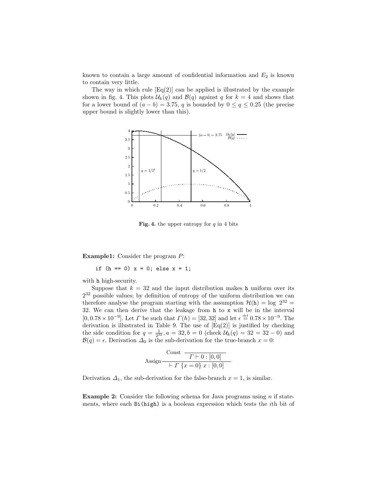known to contain a large amount of confidential information and  $E_2$  is known to contain very little.

The way in which rule  $\text{[Eq(2)]}$  can be applied is illustrated by the example shown in fig. 4. This plots  $\mathcal{U}_k(q)$  and  $\mathcal{B}(q)$  against q for  $k = 4$  and shows that for a lower bound of  $(a - b) = 3.75$ , q is bounded by  $0 \le q \le 0.25$  (the precise upper bound is slightly lower than this).



**Fig. 4.** the upper entropy for  $q$  in 4 bits

Example1: Consider the program P:

if  $(h == 0)$   $x = 0$ ; else  $x = 1$ ;

with h high-security.

Suppose that  $k = 32$  and the input distribution makes h uniform over its  $2^{32}$  possible values; by definition of entropy of the uniform distribution we can therefore analyse the program starting with the assumption  $\mathcal{H}(\mathbf{h}) = \log 2^{32} =$ 32. We can then derive that the leakage from  $h$  to  $\overrightarrow{x}$  will be in the interval  $[0, 0.78 \times 10^{-9}]$ . Let  $\Gamma$  be such that  $\Gamma(h) = [32, 32]$  and let  $\epsilon \stackrel{\text{def}}{=} 0.78 \times 10^{-9}$ . The derivation is illustrated in Table 9. The use of  $Eq(2)$  is justified by checking the side condition for  $q = \frac{1}{2^{32}}, a = 32, b = 0$  (check  $\mathcal{U}_k(q) = 32 = 32 - 0$ ) and  $\mathcal{B}(q) = \epsilon$ . Derivation  $\Delta_0$  is the sub-derivation for the true-branch  $x = 0$ :

$$
Assign \xrightarrow{\text{Const}} \frac{T \vdash 0 : [0,0]}{\vdash \Gamma \{x = 0\} \ x : [0,0]}
$$

Derivation  $\Delta_1$ , the sub-derivation for the false-branch  $x = 1$ , is similar.

**Example 2:** Consider the following schema for Java programs using  $n$  if statements, where each Bi(high) is a boolean expression which tests the ith bit of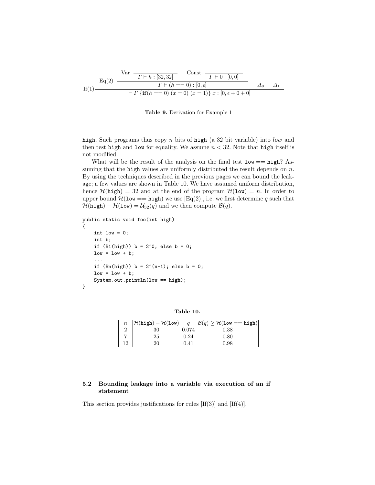$$
\text{If}(1) \frac{\text{Var} \quad \frac{\text{Var} \quad [32,32]}{r+h:[32,32]} \quad \text{Const} \quad \frac{r+0:[0,0]}{r+(h == 0) : [0, \epsilon]} \quad \Delta_0 \quad \Delta_1}{\left. + \Gamma \left\{ \textbf{if}(h == 0) \ (x = 0) \ (x = 1) \right\} x : [0, \epsilon + 0 + 0]} \quad \Delta_0
$$

Table 9. Derivation for Example 1

high. Such programs thus copy n bits of high (a 32 bit variable) into low and then test high and low for equality. We assume  $n < 32$ . Note that high itself is not modified.

What will be the result of the analysis on the final test  $low == high?$  Assuming that the high values are uniformly distributed the result depends on  $n$ . By using the techniques described in the previous pages we can bound the leakage; a few values are shown in Table 10. We have assumed uniform distribution, hence  $\mathcal{H}(\text{high}) = 32$  and at the end of the program  $\mathcal{H}(\text{low}) = n$ . In order to upper bound  $\mathcal{H}(\text{low} == \text{high})$  we use [Eq(2)], i.e. we first determine q such that  $\mathcal{H}(\text{high}) - \mathcal{H}(\text{low}) = \mathcal{U}_{32}(q)$  and we then compute  $\mathcal{B}(q)$ .

```
public static void foo(int high)
```

```
{
    int low = 0;
    int b;
    if (B1(high)) b = 2<sup>o</sup>; else b = 0;
    low = low + b;...
    if (Bn(high)) b = 2^-(n-1); else b = 0;
    low = low + b;System.out.println(low == high);
}
```
Table 10.

| $\mathbb n$ | $ \mathcal{H}(\texttt{high}) - \mathcal{H}(\texttt{low}) $ | $\boldsymbol{a}$ | $ \mathcal{B}(q) \geq \mathcal{H}(\texttt{low == high}) $ |
|-------------|------------------------------------------------------------|------------------|-----------------------------------------------------------|
|             | 30                                                         | 0.074            | 0.38                                                      |
|             | 25                                                         | 0.24             | 0.80                                                      |
| 12          | 20                                                         | 0.41             | 0.98                                                      |

#### 5.2 Bounding leakage into a variable via execution of an if statement

This section provides justifications for rules  $[If(3)]$  and  $[If(4)]$ .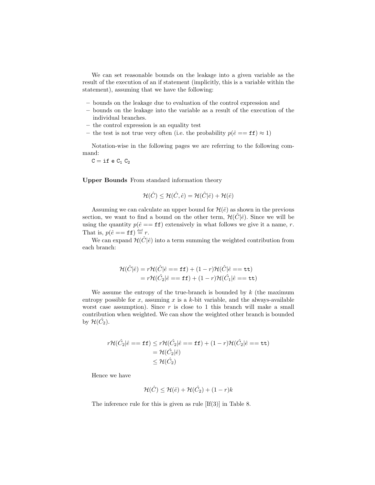We can set reasonable bounds on the leakage into a given variable as the result of the execution of an if statement (implicitly, this is a variable within the statement), assuming that we have the following:

- bounds on the leakage due to evaluation of the control expression and
- bounds on the leakage into the variable as a result of the execution of the individual branches.
- the control expression is an equality test
- the test is not true very often (i.e. the probability  $p(\hat{e} == \mathbf{ff}) \approx 1$ )

Notation-wise in the following pages we are referring to the following command:

 $C = if e C_1 C_2$ 

Upper Bounds From standard information theory

$$
\mathcal{H}(\hat{C}) \leq \mathcal{H}(\hat{C}, \hat{e}) = \mathcal{H}(\hat{C}|\hat{e}) + \mathcal{H}(\hat{e})
$$

Assuming we can calculate an upper bound for  $\mathcal{H}(\hat{e})$  as shown in the previous section, we want to find a bound on the other term,  $\mathcal{H}(\tilde{C}|\hat{e})$ . Since we will be using the quantity  $p(\hat{e} == \mathbf{ff})$  extensively in what follows we give it a name, r. That is,  $p(\hat{e} == \mathbf{ff}) \stackrel{\text{def}}{=} r$ .

We can expand  $\mathcal{H}(\hat{C}|\hat{e})$  into a term summing the weighted contribution from each branch:

$$
\mathcal{H}(\hat{C}|\hat{e}) = r\mathcal{H}(\hat{C}|\hat{e} == \mathbf{f}\mathbf{f}) + (1 - r)\mathcal{H}(\hat{C}|\hat{e} == \mathbf{t}\mathbf{t}) \n= r\mathcal{H}(\hat{C}_2|\hat{e} == \mathbf{f}\mathbf{f}) + (1 - r)\mathcal{H}(\hat{C}_1|\hat{e} == \mathbf{t}\mathbf{t})
$$

We assume the entropy of the true-branch is bounded by  $k$  (the maximum entropy possible for x, assuming x is a k-bit variable, and the always-available worst case assumption). Since  $r$  is close to 1 this branch will make a small contribution when weighted. We can show the weighted other branch is bounded by  $\mathcal{H}(\hat{C}_2)$ .

$$
r\mathcal{H}(\hat{C}_2|\hat{e} == \mathbf{f}\mathbf{f}) \le r\mathcal{H}(\hat{C}_2|\hat{e} == \mathbf{f}\mathbf{f}) + (1 - r)\mathcal{H}(\hat{C}_2|\hat{e} == \mathbf{t}\mathbf{t})
$$
  
=  $\mathcal{H}(\hat{C}_2|\hat{e})$   
 $\leq \mathcal{H}(\hat{C}_2)$ 

Hence we have

$$
\mathcal{H}(\hat{C}) \le \mathcal{H}(\hat{e}) + \mathcal{H}(\hat{C}_2) + (1 - r)k
$$

The inference rule for this is given as rule [If(3)] in Table 8.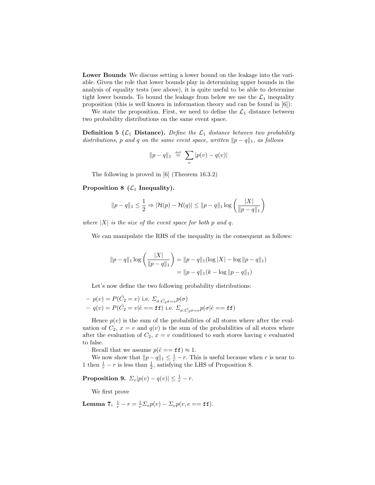Lower Bounds We discuss setting a lower bound on the leakage into the variable. Given the role that lower bounds play in determining upper bounds in the analysis of equality tests (see above), it is quite useful to be able to determine tight lower bounds. To bound the leakage from below we use the  $\mathcal{L}_1$  inequality proposition (this is well known in information theory and can be found in [6]):

We state the proposition. First, we need to define the  $\mathcal{L}_1$  distance between two probability distributions on the same event space.

**Definition 5** ( $\mathcal{L}_1$  **Distance**). Define the  $\mathcal{L}_1$  distance between two probability distributions, p and q on the same event space, written  $||p - q||_1$ , as follows

$$
\|p-q\|_1 \;\stackrel{\text{\tiny def}}{=}\; \sum_v |p(v)-q(v)|
$$

The following is proved in [6] (Theorem 16.3.2)

Proposition 8  $(\mathcal{L}_1$  Inequality).

$$
||p - q||_1 \leq \frac{1}{2} \Rightarrow |\mathcal{H}(p) - \mathcal{H}(q)| \leq ||p - q||_1 \log \left(\frac{|X|}{||p - q||_1}\right)
$$

where  $|X|$  is the size of the event space for both p and q.

We can manipulate the RHS of the inequality in the consequent as follows:

$$
||p - q||_1 \log \left(\frac{|X|}{||p - q||_1}\right) = ||p - q||_1 (\log |X| - \log ||p - q||_1)
$$
  
= 
$$
||p - q||_1 (k - \log ||p - q||_1)
$$

Let's now define the two following probability distributions:

$$
- p(v) = P(\hat{C}_2 = v) \text{ i.e. } \Sigma_{\sigma : \hat{C}_2 \sigma = v} p(\sigma)
$$
  
- q(v) = P(\hat{C}\_2 = v | \hat{e} == \mathbf{f} \mathbf{f}) \text{ i.e. } \Sigma\_{\sigma : \hat{C}\_2 \sigma = v} p(\sigma | \hat{e} == \mathbf{f} \mathbf{f})

Hence  $p(v)$  is the sum of the probabilities of all stores where after the evaluation of  $C_2$ ,  $x = v$  and  $q(v)$  is the sum of the probabilities of all stores where after the evaluation of  $C_2$ ,  $x = v$  conditioned to such stores having e evaluated to false.

Recall that we assume  $p(\hat{e} == \mathbf{ff}) \approx 1$ .

We now show that  $||p - q||_1 \leq \frac{1}{r} - r$ . This is useful because when r is near to 1 then  $\frac{1}{r} - r$  is less than  $\frac{1}{2}$ , satisfying the LHS of Proposition 8.

**Proposition 9.**  $\Sigma_v|p(v) - q(v)| \leq \frac{1}{r} - r$ .

We first prove

Lemma 7.  $\frac{1}{r} - r = \frac{1}{r} \Sigma_v p(v) - \Sigma_v p(v, e == \texttt{ff}).$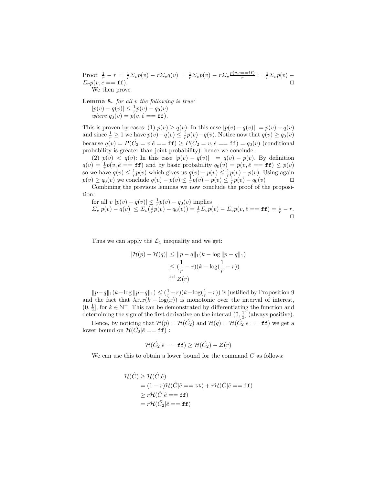Proof:  $\frac{1}{r} - r = \frac{1}{r} \sum_v p(v) - r \sum_v q(v) = \frac{1}{r} \sum_v p(v) - r \sum_v \frac{p(v, e == \text{ff})}{r} = \frac{1}{r} \sum_v p(v) \Sigma_v p(v, e == \texttt{ff}).$ We then prove

**Lemma 8.** for all  $v$  the following is true:  $|p(v) - q(v)| \leq \frac{1}{r} p(v) - q_0(v)$ where  $q_0(v) = p(v, \hat{e} == \texttt{ff}).$ 

This is proven by cases: (1)  $p(v) \geq q(v)$ : In this case  $|p(v) - q(v)| = p(v) - q(v)$ and since  $\frac{1}{r} \geq 1$  we have  $p(v) - q(v) \leq \frac{1}{r}p(v) - q(v)$ . Notice now that  $q(v) \geq q_0(v)$ because  $q(v) = P(\hat{C}_2 = v | \hat{e} == \texttt{ff}) \ge P(\hat{C}_2 = v, \hat{e} == \texttt{ff}) = q_0(v)$  (conditional probability is greater than joint probability): hence we conclude.

(2)  $p(v) < q(v)$ : In this case  $|p(v) - q(v)| = q(v) - p(v)$ . By definition  $q(v) = \frac{1}{r}p(v, \hat{e} == \mathbf{ff})$  and by basic probability  $q_0(v) = p(v, \hat{e} == \mathbf{ff}) \leq p(v)$ so we have  $q(v) \leq \frac{1}{r}p(v)$  which gives us  $q(v) - p(v) \leq \frac{1}{r}p(v) - p(v)$ . Using again  $p(v) \ge q_0(v)$  we conclude  $q(v) - p(v) \le \frac{1}{r}p(v) - p(v) \le \frac{1}{r}p(v) - q_0(v)$ 

Combining the previous lemmas we now conclude the proof of the proposition:

for all  $v |p(v) - q(v)| \leq \frac{1}{r} p(v) - q_0(v)$  implies  $|\Sigma_v|p(v) - q(v)| \leq \Sigma_v(\frac{1}{r}p(v) - q_0(v)) = \frac{1}{r}\Sigma_v p(v) - \Sigma_v p(v, \hat{e} == \textbf{ff}) = \frac{1}{r} - r.$  $\Box$ 

Thus we can apply the  $\mathcal{L}_1$  inequality and we get:

$$
|\mathcal{H}(p) - \mathcal{H}(q)| \le ||p - q||_1(k - \log ||p - q||_1)
$$
  
\n
$$
\le (\frac{1}{r} - r)(k - \log(\frac{1}{r} - r))
$$
  
\n
$$
\stackrel{\text{def}}{=} \mathcal{Z}(r)
$$

 $||p-q||_1(k-\log ||p-q||_1) \leq (\frac{1}{r}-r)(k-\log(\frac{1}{r}-r))$  is justified by Proposition 9 and the fact that  $\lambda x.x(k - \log(x))$  is monotonic over the interval of interest,  $(0, \frac{1}{2}]$ , for  $k \in \mathbb{N}^+$ . This can be demonstrated by differentiating the function and determining the sign of the first derivative on the interval  $(0, \frac{1}{2}]$  (always positive).

Hence, by noticing that  $\mathcal{H}(p) = \mathcal{H}(\hat{C}_2)$  and  $\mathcal{H}(q) = \mathcal{H}(\hat{C}_2 | \hat{e} == \mathbf{f} \mathbf{f})$  we get a lower bound on  $\mathcal{H}(\hat{C}_2|\hat{e} == \mathbf{f}\mathbf{f})$ :

$$
\mathcal{H}(\hat{C_2}|\hat{e} == \texttt{ff}) \ge \mathcal{H}(\hat{C_2}) - \mathcal{Z}(r)
$$

We can use this to obtain a lower bound for the command  $C$  as follows:

$$
\mathcal{H}(\hat{C}) \geq \mathcal{H}(\hat{C}|\hat{e})
$$
  
= (1 - r)\mathcal{H}(\hat{C}|\hat{e} == \mathtt{tt}) + r\mathcal{H}(\hat{C}|\hat{e} == \mathtt{ff})  

$$
\geq r\mathcal{H}(\hat{C}|\hat{e} == \mathtt{ff})
$$
  
= r\mathcal{H}(\hat{C}\_2|\hat{e} == \mathtt{ff})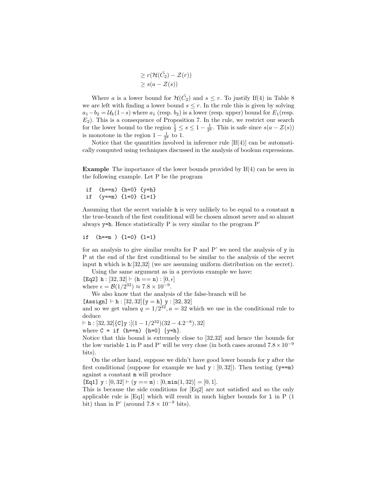$$
\geq r(\mathcal{H}(\hat{C}_2) - \mathcal{Z}(r))
$$
  

$$
\geq s(a - \mathcal{Z}(s))
$$

Where a is a lower bound for  $\mathcal{H}(\hat{C}_2)$  and  $s \leq r$ . To justify If(4) in Table 8 we are left with finding a lower bound  $s \leq r$ . In the rule this is given by solving  $a_1-b_2 = \mathcal{U}_k(1-s)$  where  $a_1$  (resp.  $b_2$ ) is a lower (resp. upper) bound for  $E_1$ (resp.  $E_2$ ). This is a consequence of Proposition 7. In the rule, we restrict our search for the lower bound to the region  $\frac{1}{2} \leq s \leq 1 - \frac{1}{2^k}$ . This is safe since  $s(a - \mathcal{Z}(s))$ is monotone in the region  $1 - \frac{1}{2^k}$  to 1.

Notice that the quantities involved in inference rule  $[If(4)]$  can be automatically computed using techniques discussed in the analysis of boolean expressions.

Example The importance of the lower bounds provided by If(4) can be seen in the following example. Let P be the program

```
if (h == n) \{h=0\} \{y=h\}if (y==m) {l=0} {l=1}
```
Assuming that the secret variable h is very unlikely to be equal to a constant n the true-branch of the first conditional will be chosen almost never and so almost always y=h. Hence statistically P is very similar to the program P'

```
if (h==m ) {l=0} {l=1}
```
for an analysis to give similar results for P and P' we need the analysis of y in P at the end of the first conditional to be similar to the analysis of the secret input h which is h:[32,32] (we are assuming uniform distribution on the secret). Using the same argument as in a previous example we have:

[Eq2]  $h : [32, 32] \vdash (h == n) : [0, \epsilon]$ where  $\epsilon = \mathcal{B}(1/2^{32}) \approx 7.8 \times 10^{-9}$ .

We also know that the analysis of the false-branch will be

[Assign]  $\vdash h : [32, 32]$ {y = h} y : [32, 32]

and so we get values  $q = 1/2^{32}$ ,  $a = 32$  which we use in the conditional rule to deduce

 $\vdash$  h : [32, 32]{C}y :[(1 - 1/2<sup>32</sup>)(32 - 4.2<sup>-8</sup>), 32] where  $C = if (h == n) {h=0} {y=h}.$ 

Notice that this bound is extremely close to [32,32] and hence the bounds for the low variable 1 in P and P' will be very close (in both cases around  $7.8 \times 10^{-9}$ bits).

On the other hand, suppose we didn't have good lower bounds for y after the first conditional (suppose for example we had  $y : [0, 32]$ ). Then testing (y==m) against a constant m will produce

[Eq1]  $y : [0, 32] \vdash (y == m) : [0, min(1, 32)] = [0, 1].$ 

This is because the side conditions for [Eq2] are not satisfied and so the only applicable rule is  $[Eq1]$  which will result in much higher bounds for 1 in P  $(1)$ bit) than in P' (around  $7.8 \times 10^{-9}$  bits).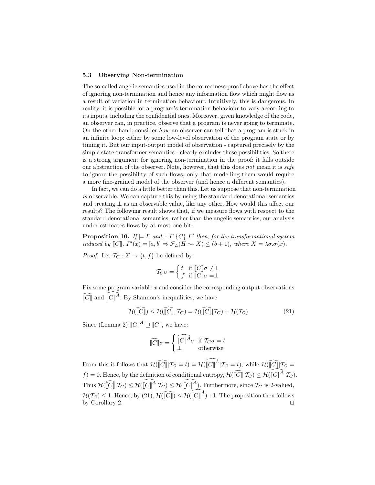#### 5.3 Observing Non-termination

The so-called angelic semantics used in the correctness proof above has the effect of ignoring non-termination and hence any information flow which might flow as a result of variation in termination behaviour. Intuitively, this is dangerous. In reality, it is possible for a program's termination behaviour to vary according to its inputs, including the confidential ones. Moreover, given knowledge of the code, an observer can, in practice, observe that a program is never going to terminate. On the other hand, consider how an observer can tell that a program is stuck in an infinite loop: either by some low-level observation of the program state or by timing it. But our input-output model of observation - captured precisely by the simple state-transformer semantics - clearly excludes these possibilities. So there is a strong argument for ignoring non-termination in the proof: it falls outside our abstraction of the observer. Note, however, that this does not mean it is safe to ignore the possibility of such flows, only that modelling them would require a more fine-grained model of the observer (and hence a different semantics).

In fact, we can do a little better than this. Let us suppose that non-termination is observable. We can capture this by using the standard denotational semantics and treating  $\perp$  as an observable value, like any other. How would this affect our results? The following result shows that, if we measure flows with respect to the standard denotational semantics, rather than the angelic semantics, our analysis under-estimates flows by at most one bit.

**Proposition 10.** If  $\models \Gamma$  and  $\models \Gamma$  {C}  $\Gamma'$  then, for the transformational system induced by  $[[C]], \Gamma'(x) = [a, b] \Rightarrow \mathcal{F}_L(H \rightsquigarrow X) \leq (b+1),$  where  $X = \lambda \sigma \cdot \sigma(x)$ .

*Proof.* Let  $\mathcal{T}_C : \Sigma \to \{t, f\}$  be defined by:

$$
\mathcal{T}_C \sigma = \begin{cases} t & \text{if } \llbracket C \rrbracket \sigma \neq \perp \\ f & \text{if } \llbracket C \rrbracket \sigma = \perp \end{cases}
$$

Fix some program variable  $x$  and consider the corresponding output observations  $\widehat{[C]}$  and  $\widehat{[C]}^{\widetilde{A}}$ . By Shannon's inequalities, we have

$$
\mathcal{H}(\widehat{[\![C]\!]} ) \le \mathcal{H}(\widehat{[\![C]\!]}, \mathcal{T}_C) = \mathcal{H}(\widehat{[\![C]\!]} | \mathcal{T}_C) + \mathcal{H}(\mathcal{T}_C)
$$
\n(21)

Since (Lemma 2)  $\llbracket C \rrbracket^A \sqsupseteq \llbracket C \rrbracket$ , we have:

$$
\widehat{\llbracket C \rrbracket} \sigma = \begin{cases} \widehat{\llbracket C \rrbracket}^A \sigma & \text{if } T_C \sigma = t \\ \bot & \text{otherwise} \end{cases}
$$

From this it follows that  $\mathcal{H}(\widehat{[C]} | T_C = t) = \mathcal{H}(\widehat{[C]}^{\widehat{A}} | T_C = t)$ , while  $\mathcal{H}(\widehat{[C]} | T_C = t)$  $f$  = 0. Hence, by the definition of conditional entropy,  $\mathcal{H}(\hat{c}||T_C) \leq \mathcal{H}(\hat{c}||^A|T_C)$ . Thus  $\mathcal{H}(\widehat{[\![C]\!]}|\mathcal{T}_C) \leq \mathcal{H}(\widehat{[\![C]\!]^A}|\mathcal{T}_C) \leq \mathcal{H}(\widehat{[\![C]\!]^A})$ . Furthermore, since  $\mathcal{T}_C$  is 2-valued,  $\mathcal{H}(\mathcal{T}_C) \leq 1$ . Hence, by (21),  $\mathcal{H}(\widehat{[\![C]\!]}) \leq \mathcal{H}(\widehat{[\![C]\!]^A})+1$ . The proposition then follows by Corollary 2.  $\Box$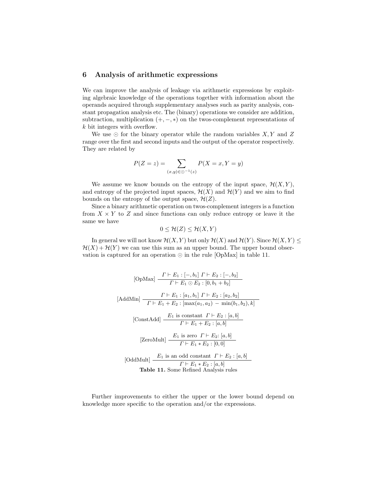#### 6 Analysis of arithmetic expressions

We can improve the analysis of leakage via arithmetic expressions by exploiting algebraic knowledge of the operations together with information about the operands acquired through supplementary analyses such as parity analysis, constant propagation analysis etc. The (binary) operations we consider are addition, subtraction, multiplication  $(+, -, *)$  on the twos-complement representations of k bit integers with overflow.

We use  $\odot$  for the binary operator while the random variables  $X, Y$  and  $Z$ range over the first and second inputs and the output of the operator respectively. They are related by

$$
P(Z = z) = \sum_{(x,y) \in \bigcirc^{-1}(z)} P(X = x, Y = y)
$$

We assume we know bounds on the entropy of the input space,  $\mathcal{H}(X, Y)$ , and entropy of the projected input spaces,  $\mathcal{H}(X)$  and  $\mathcal{H}(Y)$  and we aim to find bounds on the entropy of the output space,  $\mathcal{H}(Z)$ .

Since a binary arithmetic operation on twos-complement integers is a function from  $X \times Y$  to Z and since functions can only reduce entropy or leave it the same we have

$$
0 \leq \mathcal{H}(Z) \leq \mathcal{H}(X, Y)
$$

In general we will not know  $\mathcal{H}(X, Y)$  but only  $\mathcal{H}(X)$  and  $\mathcal{H}(Y)$ . Since  $\mathcal{H}(X, Y) \leq$  $\mathcal{H}(X) + \mathcal{H}(Y)$  we can use this sum as an upper bound. The upper bound observation is captured for an operation  $\odot$  in the rule [OpMax] in table 11.

[OpMax] 
$$
\frac{\Gamma \vdash E_1 : [-, b_1] \Gamma \vdash E_2 : [-, b_2]}{\Gamma \vdash E_1 \odot E_2 : [0, b_1 + b_2]}
$$
  
\n[AddMin] 
$$
\frac{\Gamma \vdash E_1 : [a_1, b_1] \Gamma \vdash E_2 : [a_2, b_2]}{\Gamma \vdash E_1 + E_2 : [max(a_1, a_2) - min(b_1, b_2), k]}
$$
  
\n[ConstAdd] 
$$
\frac{E_1 \text{ is constant } \Gamma \vdash E_2 : [a, b]}{\Gamma \vdash E_1 + E_2 : [a, b]}
$$
  
\n[ZeroMult] 
$$
\frac{E_1 \text{ is zero } \Gamma \vdash E_2 : [a, b]}{\Gamma \vdash E_1 * E_2 : [0, 0]}
$$
  
\n[OddMulti] 
$$
\frac{E_1 \text{ is an odd constant } \Gamma \vdash E_2 : [a, b]}{\Gamma \vdash E_1 * E_2 : [a, b]}
$$
  
\nTable 11. Some Refined Analysis rules

Further improvements to either the upper or the lower bound depend on knowledge more specific to the operation and/or the expressions.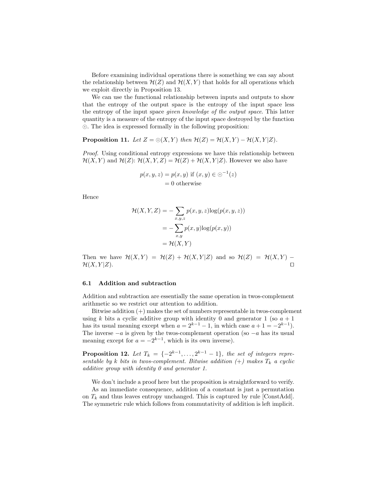Before examining individual operations there is something we can say about the relationship between  $\mathcal{H}(Z)$  and  $\mathcal{H}(X, Y)$  that holds for all operations which we exploit directly in Proposition 13.

We can use the functional relationship between inputs and outputs to show that the entropy of the output space is the entropy of the input space less the entropy of the input space given knowledge of the output space. This latter quantity is a measure of the entropy of the input space destroyed by the function . The idea is expressed formally in the following proposition:

**Proposition 11.** Let  $Z = \odot(X, Y)$  then  $\mathcal{H}(Z) = \mathcal{H}(X, Y) - \mathcal{H}(X, Y | Z)$ .

Proof. Using conditional entropy expressions we have this relationship between  $\mathcal{H}(X, Y)$  and  $\mathcal{H}(Z)$ :  $\mathcal{H}(X, Y, Z) = \mathcal{H}(Z) + \mathcal{H}(X, Y | Z)$ . However we also have

$$
p(x, y, z) = p(x, y) \text{ if } (x, y) \in \odot^{-1}(z)
$$

$$
= 0 \text{ otherwise}
$$

Hence

$$
\mathcal{H}(X, Y, Z) = -\sum_{x, y, z} p(x, y, z) \log(p(x, y, z))
$$

$$
= -\sum_{x, y} p(x, y) \log(p(x, y))
$$

$$
= \mathcal{H}(X, Y)
$$

Then we have  $\mathcal{H}(X, Y) = \mathcal{H}(Z) + \mathcal{H}(X, Y | Z)$  and so  $\mathcal{H}(Z) = \mathcal{H}(X, Y)$  –  $\mathcal{H}(X,Y|Z)$ .

#### 6.1 Addition and subtraction

Addition and subtraction are essentially the same operation in twos-complement arithmetic so we restrict our attention to addition.

Bitwise addition (+) makes the set of numbers representable in twos-complement using k bits a cyclic additive group with identity 0 and generator 1 (so  $a + 1$ ) has its usual meaning except when  $a = 2^{k-1} - 1$ , in which case  $a + 1 = -2^{k-1}$ . The inverse  $-a$  is given by the twos-complement operation (so  $-a$  has its usual meaning except for  $a = -2^{k-1}$ , which is its own inverse).

**Proposition 12.** Let  $T_k = \{-2^{k-1}, \ldots, 2^{k-1} - 1\}$ , the set of integers representable by k bits in twos-complement. Bitwise addition  $(+)$  makes  $T_k$  a cyclic additive group with identity 0 and generator 1.

We don't include a proof here but the proposition is straightforward to verify.

As an immediate consequence, addition of a constant is just a permutation on  $T_k$  and thus leaves entropy unchanged. This is captured by rule [ConstAdd]. The symmetric rule which follows from commutativity of addition is left implicit.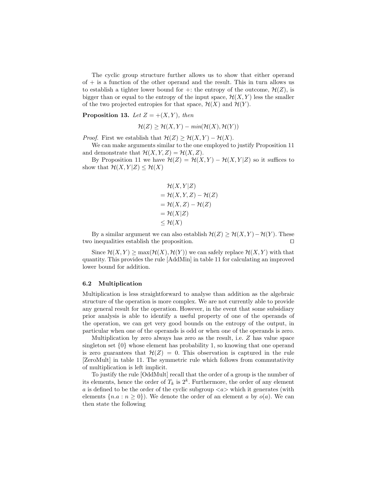The cyclic group structure further allows us to show that either operand of  $+$  is a function of the other operand and the result. This in turn allows us to establish a tighter lower bound for  $\pm$ : the entropy of the outcome,  $\mathcal{H}(Z)$ , is bigger than or equal to the entropy of the input space,  $\mathcal{H}(X, Y)$  less the smaller of the two projected entropies for that space,  $\mathcal{H}(X)$  and  $\mathcal{H}(Y)$ .

**Proposition 13.** Let  $Z = +(X, Y)$ , then

$$
\mathcal{H}(Z) \ge \mathcal{H}(X, Y) - \min(\mathcal{H}(X), \mathcal{H}(Y))
$$

*Proof.* First we establish that  $\mathcal{H}(Z) \geq \mathcal{H}(X, Y) - \mathcal{H}(X)$ .

We can make arguments similar to the one employed to justify Proposition 11 and demonstrate that  $\mathcal{H}(X, Y, Z) = \mathcal{H}(X, Z)$ .

By Proposition 11 we have  $\mathcal{H}(Z) = \mathcal{H}(X, Y) - \mathcal{H}(X, Y|Z)$  so it suffices to show that  $\mathcal{H}(X, Y|Z) \leq \mathcal{H}(X)$ 

$$
\mathcal{H}(X, Y|Z)
$$
  
=  $\mathcal{H}(X, Y, Z) - \mathcal{H}(Z)$   
=  $\mathcal{H}(X, Z) - \mathcal{H}(Z)$   
=  $\mathcal{H}(X|Z)$   
 $\leq \mathcal{H}(X)$ 

By a similar argument we can also establish  $\mathcal{H}(Z) \geq \mathcal{H}(X, Y) - \mathcal{H}(Y)$ . These two inequalities establish the proposition.  $\Box$ 

Since  $\mathcal{H}(X, Y) \ge \max(\mathcal{H}(X), \mathcal{H}(Y))$  we can safely replace  $\mathcal{H}(X, Y)$  with that quantity. This provides the rule [AddMin] in table 11 for calculating an improved lower bound for addition.

#### 6.2 Multiplication

Multiplication is less straightforward to analyse than addition as the algebraic structure of the operation is more complex. We are not currently able to provide any general result for the operation. However, in the event that some subsidiary prior analysis is able to identify a useful property of one of the operands of the operation, we can get very good bounds on the entropy of the output, in particular when one of the operands is odd or when one of the operands is zero.

Multiplication by zero always has zero as the result, i.e. Z has value space singleton set {0} whose element has probability 1, so knowing that one operand is zero guarantees that  $\mathcal{H}(Z) = 0$ . This observation is captured in the rule [ZeroMult] in table 11. The symmetric rule which follows from commutativity of multiplication is left implicit.

To justify the rule [OddMult] recall that the order of a group is the number of its elements, hence the order of  $T_k$  is  $2^k$ . Furthermore, the order of any element a is defined to be the order of the cyclic subgroup  $\langle a \rangle$  which it generates (with elements  ${n.a : n \ge 0}$ . We denote the order of an element a by  $o(a)$ . We can then state the following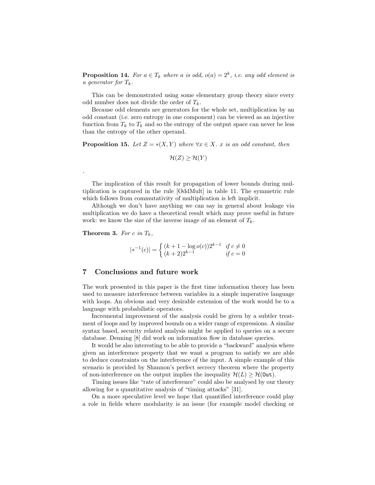**Proposition 14.** For  $a \in T_k$  where a is odd,  $o(a) = 2^k$ , i.e. any odd element is a generator for  $T_k$ .

This can be demonstrated using some elementary group theory since every odd number does not divide the order of  $T_k$ .

Because odd elements are generators for the whole set, multiplication by an odd constant (i.e. zero entropy in one component) can be viewed as an injective function from  $T_k$  to  $T_k$  and so the entropy of the output space can never be less than the entropy of the other operand.

**Proposition 15.** Let  $Z = *(X, Y)$  where  $\forall x \in X$ . x is an odd constant, then

 $\mathcal{H}(Z) \geq \mathcal{H}(Y)$ 

The implication of this result for propagation of lower bounds during multiplication is captured in the rule [OddMult] in table 11. The symmetric rule which follows from commutativity of multiplication is left implicit.

Although we don't have anything we can say in general about leakage via multiplication we do have a theoretical result which may prove useful in future work: we know the size of the inverse image of an element of  $T_k$ .

**Theorem 3.** For c in  $T_k$ ,

.

$$
|*^{-1}(c)| = \begin{cases} (k+1-\log o(c))2^{k-1} & \text{if } c \neq 0\\ (k+2)2^{k-1} & \text{if } c = 0 \end{cases}
$$

#### 7 Conclusions and future work

The work presented in this paper is the first time information theory has been used to measure interference between variables in a simple imperative language with loops. An obvious and very desirable extension of the work would be to a language with probabilistic operators.

Incremental improvement of the analysis could be given by a subtler treatment of loops and by improved bounds on a wider range of expressions. A similar syntax based, security related analysis might be applied to queries on a secure database. Denning [8] did work on information flow in database queries.

It would be also interesting to be able to provide a "backward" analysis where given an interference property that we want a program to satisfy we are able to deduce constraints on the interference of the input. A simple example of this scenario is provided by Shannon's perfect secrecy theorem where the property of non-interference on the output implies the inequality  $\mathcal{H}(L) > \mathcal{H}(\mathsf{Out})$ .

Timing issues like "rate of interference" could also be analysed by our theory allowing for a quantitative analysis of "timing attacks" [31].

On a more speculative level we hope that quantified interference could play a role in fields where modularity is an issue (for example model checking or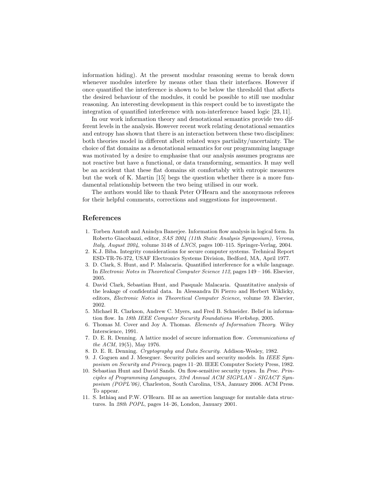information hiding). At the present modular reasoning seems to break down whenever modules interfere by means other than their interfaces. However if once quantified the interference is shown to be below the threshold that affects the desired behaviour of the modules, it could be possible to still use modular reasoning. An interesting development in this respect could be to investigate the integration of quantified interference with non-interference based logic [23, 11].

In our work information theory and denotational semantics provide two different levels in the analysis. However recent work relating denotational semantics and entropy has shown that there is an interaction between these two disciplines: both theories model in different albeit related ways partiality/uncertainty. The choice of flat domains as a denotational semantics for our programming language was motivated by a desire to emphasise that our analysis assumes programs are not reactive but have a functional, or data transforming, semantics. It may well be an accident that these flat domains sit comfortably with entropic measures but the work of K. Martin [15] begs the question whether there is a more fundamental relationship between the two being utilised in our work.

The authors would like to thank Peter O'Hearn and the anonymous referees for their helpful comments, corrections and suggestions for improvement.

#### References

- 1. Torben Amtoft and Anindya Banerjee. Information flow analysis in logical form. In Roberto Giacobazzi, editor, SAS 2004 (11th Static Analysis Symposium), Verona, Italy, August 2004, volume 3148 of LNCS, pages 100–115. Springer-Verlag, 2004.
- 2. K.J. Biba. Integrity considerations for secure computer systems. Technical Report ESD-TR-76-372, USAF Electronics Systems Division, Bedford, MA, April 1977.
- 3. D. Clark, S. Hunt, and P. Malacaria. Quantified interference for a while language. In Electronic Notes in Theoretical Computer Science 112, pages 149 – 166. Elsevier, 2005.
- 4. David Clark, Sebastian Hunt, and Pasquale Malacaria. Quantitative analysis of the leakage of confidential data. In Alessandra Di Pierro and Herbert Wiklicky, editors, Electronic Notes in Theoretical Computer Science, volume 59. Elsevier, 2002.
- 5. Michael R. Clarkson, Andrew C. Myers, and Fred B. Schneider. Belief in information flow. In 18th IEEE Computer Security Foundations Workshop, 2005.
- 6. Thomas M. Cover and Joy A. Thomas. Elements of Information Theory. Wiley Interscience, 1991.
- 7. D. E. R. Denning. A lattice model of secure information flow. Communications of the ACM, 19(5), May 1976.
- 8. D. E. R. Denning. Cryptography and Data Security. Addison-Wesley, 1982.
- 9. J. Goguen and J. Meseguer. Security policies and security models. In IEEE Symposium on Security and Privacy, pages 11–20. IEEE Computer Society Press, 1982.
- 10. Sebastian Hunt and David Sands. On flow-sensitive security types. In Proc. Principles of Programming Languages, 33rd Annual ACM SIGPLAN - SIGACT Symposium (POPL'06), Charleston, South Carolina, USA, January 2006. ACM Press. To appear.
- 11. S. Isthiaq and P.W. O'Hearn. BI as an assertion language for mutable data structures. In 28th POPL, pages 14–26, London, January 2001.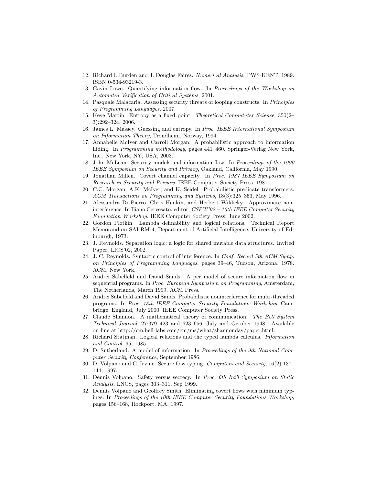- 12. Richard L.Burden and J. Douglas Faires. Numerical Analysis. PWS-KENT, 1989. ISBN 0-534-93219-3.
- 13. Gavin Lowe. Quantifying information flow. In Proceedings of the Workshop on Automated Verification of Critical Systems, 2001.
- 14. Pasquale Malacaria. Assessing security threats of looping constructs. In Principles of Programming Languages, 2007.
- 15. Keye Martin. Entropy as a fixed point. Theoretical Compututer Science, 350(2– 3):292–324, 2006.
- 16. James L. Massey. Guessing and entropy. In Proc. IEEE International Symposium on Information Theory, Trondheim, Norway, 1994.
- 17. Annabelle McIver and Carroll Morgan. A probabilistic approach to information hiding. In Programming methodology, pages 441–460. Springer-Verlag New York, Inc., New York, NY, USA, 2003.
- 18. John McLean. Security models and information flow. In Proceedings of the 1990 IEEE Symposium on Security and Privacy, Oakland, California, May 1990.
- 19. Jonathan Millen. Covert channel capacity. In Proc. 1987 IEEE Symposium on Research in Security and Privacy. IEEE Computer Society Press, 1987.
- 20. C.C. Morgan, A.K. McIver, and K. Seidel. Probabilistic predicate transformers. ACM Transactions on Programming and Systems, 18(3):325–353, May 1996.
- 21. Alessandra Di Pierro, Chris Hankin, and Herbert Wiklicky. Approximate noninterference. In Iliano Cervesato, editor, CSFW'02 – 15th IEEE Computer Security Foundation Workshop. IEEE Computer Society Press, June 2002.
- 22. Gordon Plotkin. Lambda definability and logical relations. Technical Report Memorandum SAI-RM-4, Department of Artificial Intelligence, University of Edinburgh, 1973.
- 23. J. Reynolds. Separation logic: a logic for shared mutable data structures. Invited Paper, LICS'02, 2002.
- 24. J. C. Reynolds. Syntactic control of interference. In Conf. Record 5th ACM Symp. on Principles of Programming Languages, pages 39–46, Tucson, Arizona, 1978. ACM, New York.
- 25. Andrei Sabelfeld and David Sands. A per model of secure information flow in sequential programs. In Proc. European Symposium on Programming, Amsterdam, The Netherlands, March 1999. ACM Press.
- 26. Andrei Sabelfeld and David Sands. Probabilistic noninterference for multi-threaded programs. In Proc. 13th IEEE Computer Security Foundations Workshop, Cambridge, England, July 2000. IEEE Computer Society Press.
- 27. Claude Shannon. A mathematical theory of communication. The Bell System Technical Journal, 27:379–423 and 623–656, July and October 1948. Available on-line at http://cm.bell-labs.com/cm/ms/what/shannonday/paper.html.
- 28. Richard Statman. Logical relations and the typed lambda calculus. Information and Control, 65, 1985.
- 29. D. Sutherland. A model of information. In Proceedings of the 9th National Computer Security Conference, September 1986.
- 30. D. Volpano and C. Irvine. Secure flow typing. Computers and Security, 16(2):137– 144, 1997.
- 31. Dennis Volpano. Safety versus secrecy. In Proc. 6th Int'l Symposium on Static Analysis, LNCS, pages 303–311, Sep 1999.
- 32. Dennis Volpano and Geoffrey Smith. Eliminating covert flows with minimum typings. In Proceedings of the 10th IEEE Computer Security Foundations Workshop, pages 156–168, Rockport, MA, 1997.